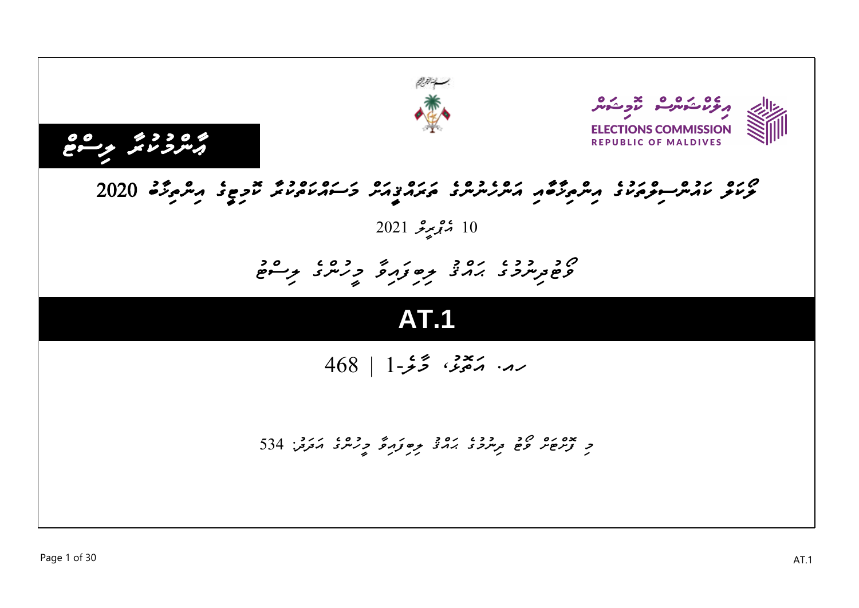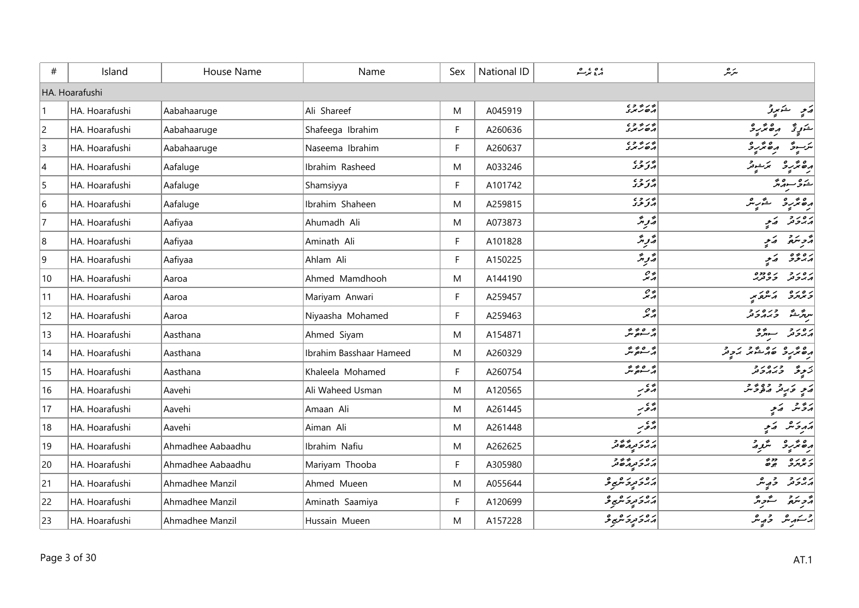| #                | Island         | House Name        | Name                    | Sex         | National ID | ، ه ، ره<br>مر، مر                     | ىئرىتر                                              |
|------------------|----------------|-------------------|-------------------------|-------------|-------------|----------------------------------------|-----------------------------------------------------|
|                  | HA. Hoarafushi |                   |                         |             |             |                                        |                                                     |
|                  | HA. Hoarafushi | Aabahaaruge       | Ali Shareef             | M           | A045919     | ه ربو د ،<br>د ځار بر د                | ړې خومړينې<br>مړينې                                 |
| $\overline{c}$   | HA. Hoarafushi | Aabahaaruge       | Shafeega Ibrahim        | $\mathsf F$ | A260636     | پر پر و ،<br>د ځار مرد                 | برە ئۆرۈ<br>  شَرَوٍ تَرُ                           |
| 3                | HA. Hoarafushi | Aabahaaruge       | Naseema Ibrahim         | F           | A260637     | ه ربو د ،<br>د ځار بر د                | دە ئەرد<br>لترسوقه                                  |
| 4                | HA. Hoarafushi | Aafaluge          | Ibrahim Rasheed         | M           | A033246     | ه ر و ،<br>پروڅر                       | وە ئەربە                                            |
| 5                | HA. Hoarafushi | Aafaluge          | Shamsiyya               | F           | A101742     | ه ر د ،<br>پرونور                      | أينوع سورة                                          |
| $\sqrt{6}$       | HA. Hoarafushi | Aafaluge          | Ibrahim Shaheen         | M           | A259815     | ەر د ،<br>پەنوى                        | رە ئەر ۋ<br>ر                                       |
| $\overline{7}$   | HA. Hoarafushi | Aafiyaa           | Ahumadh Ali             | ${\sf M}$   | A073873     | وترويثر                                | برە رىچە بەيد                                       |
| 8                | HA. Hoarafushi | Aafiyaa           | Aminath Ali             | $\mathsf F$ | A101828     | پر<br>پروگر                            | أأترسكم أأتمني                                      |
| $\boldsymbol{9}$ | HA. Hoarafushi | Aafiyaa           | Ahlam Ali               | $\mathsf F$ | A150225     | وتوديحه                                | رە ۋە كەپ                                           |
| 10               | HA. Hoarafushi | Aaroa             | Ahmed Mamdhooh          | ${\sf M}$   | A144190     | $\overline{\mathcal{L}}$               | ر ه ر د<br>م <i>رگ</i> تر<br>ر ه دوه<br>تر تر تر بر |
| 11               | HA. Hoarafushi | Aaroa             | Mariyam Anwari          | F           | A259457     | پر جر                                  | و دره دره در پر                                     |
| 12               | HA. Hoarafushi | Aaroa             | Niyaasha Mohamed        | F           | A259463     | پرمحه                                  | سرگر در در در                                       |
| 13               | HA. Hoarafushi | Aasthana          | Ahmed Siyam             | ${\sf M}$   | A154871     | ۇ ھۇبۇ                                 | أرەر دەرە                                           |
| 14               | HA. Hoarafushi | Aasthana          | Ibrahim Basshaar Hameed | ${\sf M}$   | A260329     | ۇ ھۇ ئىر                               |                                                     |
| 15               | HA. Hoarafushi | Aasthana          | Khaleela Mohamed        | F           | A260754     | ۇ ھۇبىر                                | كزموقر وبره برو                                     |
| 16               | HA. Hoarafushi | Aavehi            | Ali Waheed Usman        | M           | A120565     | ومحوسه                                 | ړی وَړیز ووځنر                                      |
| 17               | HA. Hoarafushi | Aavehi            | Amaan Ali               | M           | A261445     | ةعمر                                   | ړ وي په کړې                                         |
| 18               | HA. Hoarafushi | Aavehi            | Aiman Ali               | M           | A261448     | پژځر                                   | أأرده أأدر                                          |
| 19               | HA. Hoarafushi | Ahmadhee Aabaadhu | Ibrahim Nafiu           | M           | A262625     | ر ه ر په و د<br><i>ډ بر د پر م</i> څنر | وەتزرو<br>سَّرُو پُر                                |
| 20               | HA. Hoarafushi | Ahmadhee Aabaadhu | Mariyam Thooba          | F           | A305980     | پره تر پرځ تر<br>  پر ټر تر پر ځانگر   | وبروه<br>دونج<br>جي                                 |
| 21               | HA. Hoarafushi | Ahmadhee Manzil   | Ahmed Mueen             | M           | A055644     | ر <i>و د د پرځ</i> شر <sub>م</sub> و څ | خەمپىر<br>بر 2 د تر<br>م <i>ر</i> کوتر              |
| 22               | HA. Hoarafushi | Ahmadhee Manzil   | Aminath Saamiya         | F           | A120699     | <br>  دېر د پر د شيو د                 | ستسجد متر<br>أثر حريره                              |
| 23               | HA. Hoarafushi | Ahmadhee Manzil   | Hussain Mueen           | M           | A157228     | ر <i>و د پرځ</i> شر <sub>و</sub> و     | برسكهاش التحمياش                                    |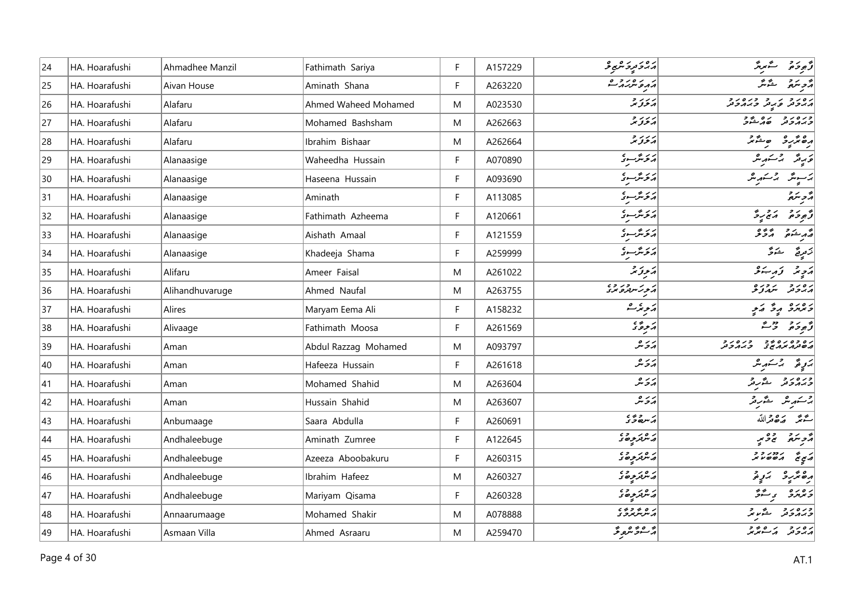| 24 | HA. Hoarafushi | Ahmadhee Manzil | Fathimath Sariya     | F         | A157229 | ئەر ئەر ئەسىر ئە                                            | ۇ بەر ئەرگە<br>ئۇيۇر ئەرگەر                 |
|----|----------------|-----------------|----------------------|-----------|---------|-------------------------------------------------------------|---------------------------------------------|
| 25 | HA. Hoarafushi | Aivan House     | Aminath Shana        | F         | A263220 | أر أمر و مرد حد                                             | أروبترة فتقتر                               |
| 26 | HA. Hoarafushi | Alafaru         | Ahmed Waheed Mohamed | M         | A023530 | برىزىر                                                      | גפגב גגב בגםגב<br>הגבע פֿגַע בגרכע          |
| 27 | HA. Hoarafushi | Alafaru         | Mohamed Bashsham     | M         | A262663 | بزىزىر                                                      | وره رو ده دو                                |
| 28 | HA. Hoarafushi | Alafaru         | Ibrahim Bishaar      | M         | A262664 | پرنز پر                                                     | رەترىر ھىشتر                                |
| 29 | HA. Hoarafushi | Alanaasige      | Waheedha Hussain     | F         | A070890 | ئە ئەنگەرىسى ئى                                             | ەر يۇ سىسىر بىر                             |
| 30 | HA. Hoarafushi | Alanaasige      | Haseena Hussain      | F         | A093690 | رَ ئَوَ مَدَّر ۖ وَ حَ                                      | ىر سەمگە برگە كەرلىر<br>ئەسمىگە برگە كەرلىر |
| 31 | HA. Hoarafushi | Alanaasige      | Aminath              | F         | A113085 | ىر ئەنگەر ي <sup>ى</sup>                                    | أأروشي                                      |
| 32 | HA. Hoarafushi | Alanaasige      | Fathimath Azheema    | F         | A120661 | ئەقەتتىرىكى                                                 | ۇيوۋە مەنى بە                               |
| 33 | HA. Hoarafushi | Alanaasige      | Aishath Amaal        | F         | A121559 | ئەئەتىرىدى                                                  |                                             |
| 34 | HA. Hoarafushi | Alanaasige      | Khadeeja Shama       | F         | A259999 | رَ ئَەسْرىپ                                                 | ر<br>ترميعًا الشرق                          |
| 35 | HA. Hoarafushi | Alifaru         | Ameer Faisal         | M         | A261022 | پروژنډ                                                      | أزويز أوربنانى                              |
| 36 | HA. Hoarafushi | Alihandhuvaruge | Ahmed Naufal         | M         | A263755 | پر بر سرچر دی <del>.</del><br>  پر بر سرچر <sub>ی مرب</sub> | رەرد شەدرە                                  |
| 37 | HA. Hoarafushi | Alires          | Maryam Eema Ali      | F         | A158232 | رئبر پر م                                                   | גם גם הבי הב                                |
| 38 | HA. Hoarafushi | Alivaage        | Fathimath Moosa      | F         | A261569 | پر وي                                                       | أو رو دونو                                  |
| 39 | HA. Hoarafushi | Aman            | Abdul Razzag Mohamed | ${\sf M}$ | A093797 | برىر ھ                                                      | נס כס נס שב פנסג כ<br>גם נגד בריך באירי     |
| 40 | HA. Hoarafushi | Aman            | Hafeeza Hussain      | F         | A261618 | برىر ھ                                                      | يروپچر بر مسكور مر                          |
| 41 | HA. Hoarafushi | Aman            | Mohamed Shahid       | M         | A263604 | برىر ھ                                                      | ورەرو ئەرو                                  |
| 42 | HA. Hoarafushi | Aman            | Hussain Shahid       | M         | A263607 | برىر ھ                                                      | جرسكور مشرقه                                |
| 43 | HA. Hoarafushi | Anbumaage       | Saara Abdulla        | F         | A260691 | بر بر دی.<br>مرس شر                                         | تحتم مَدْ مَدَاللّه                         |
| 44 | HA. Hoarafushi | Andhaleebuge    | Aminath Zumree       | F         | A122645 | پر مرکز پر دی<br>  پر مرکز پر دی                            | أأرمز الملحم المعجم والمحمد                 |
| 45 | HA. Hoarafushi | Andhaleebuge    | Azeeza Aboobakuru    | F         | A260315 | پر ټر پر دی<br>  پر ټر ټر پر دی                             | 77/2000                                     |
| 46 | HA. Hoarafushi | Andhaleebuge    | Ibrahim Hafeez       | ${\sf M}$ | A260327 | ر مرتز پر د <sup>ه</sup>                                    | ەھترىر ئىرى<br>رەترىر ئىرى                  |
| 47 | HA. Hoarafushi | Andhaleebuge    | Mariyam Qisama       | F         | A260328 | پر عربر دی                                                  | رەرە پەشۇ                                   |
| 48 | HA. Hoarafushi | Annaarumaage    | Mohamed Shakir       | M         | A078888 | ر ه و و و ،<br>مرس پر د د                                   | ورەرو شەرو                                  |
| 49 | HA. Hoarafushi | Asmaan Villa    | Ahmed Asraaru        | ${\sf M}$ | A259470 | رم مشرقه عرو                                                | رەرد رەپر                                   |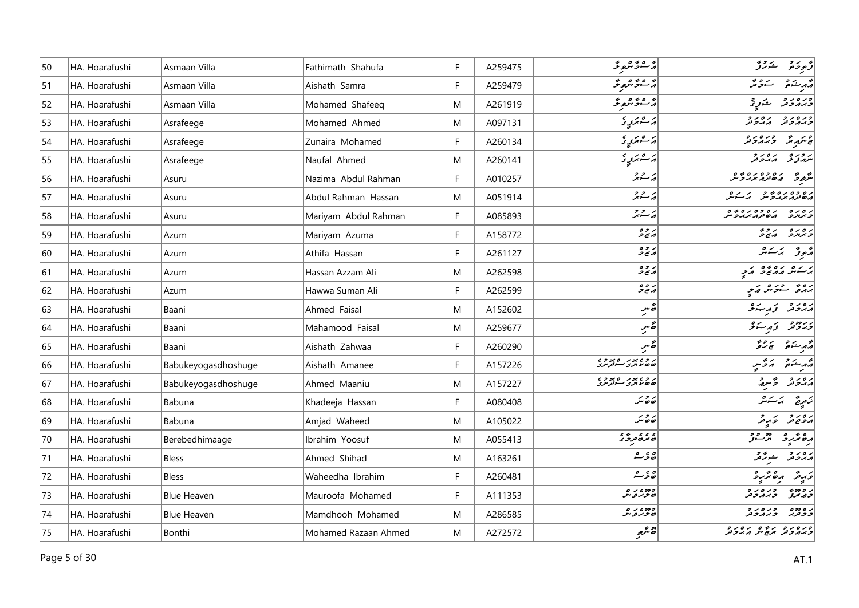| 50 | HA. Hoarafushi | Asmaan Villa        | Fathimath Shahufa    | F  | A259475 | ۇ مۇھ بۇ                               | $rac{22}{5}$ $rac{2}{5}$ $rac{2}{5}$                                   |
|----|----------------|---------------------|----------------------|----|---------|----------------------------------------|------------------------------------------------------------------------|
| 51 | HA. Hoarafushi | Asmaan Villa        | Aishath Samra        | F  | A259479 | پ <sub>ر ۱</sub> ۴۵ په مخ              | لقرمر ينموهم                                                           |
| 52 | HA. Hoarafushi | Asmaan Villa        | Mohamed Shafeeq      | M  | A261919 | ۇ مەم <sup>ە</sup> ھېرىگە              | ورەرو ئىرو                                                             |
| 53 | HA. Hoarafushi | Asrafeege           | Mohamed Ahmed        | M  | A097131 | ىز سەنىزى <sub>رى</sub> ئ              | כנסנכ נסנכ<br>כ <i>ג</i> ונכנ וגבנ                                     |
| 54 | HA. Hoarafushi | Asrafeege           | Zunaira Mohamed      | F. | A260134 | ىز س <sup>ە</sup> ئىرى <sub>ر</sub> ،  | و ره ر د<br>ر <i>د د</i> در<br> خ سَمَ <i>ر مَدَّ</i>                  |
| 55 | HA. Hoarafushi | Asrafeege           | Naufal Ahmed         | M  | A260141 | ىز س <sup>9</sup> ىخرى <sub>مى</sub> ئ | يروره ده دو                                                            |
| 56 | HA. Hoarafushi | Asuru               | Nazima Abdul Rahman  | F  | A010257 | ەرىيە                                  | ره وه ره ده ه<br>پره تربر تر تر تر<br>سَّنْجِ رَّ                      |
| 57 | HA. Hoarafushi | Asuru               | Abdul Rahman Hassan  | M  | A051914 | ەرىيەتە                                | ره ده ره د د پر کرد.<br>پره تربر بربر تر بر کرک                        |
| 58 | HA. Hoarafushi | Asuru               | Mariyam Abdul Rahman | F  | A085893 | ەرىسىتىر                               | ر ه د ه د ه د ه<br>پره تربر تربر و س<br>ر ه ر ه<br><del>ر</del> بربر و |
| 59 | HA. Hoarafushi | Azum                | Mariyam Azuma        | F. | A158772 | ر و ه<br>در پار                        | ر ه ر ه<br><del>ر</del> بربرگ<br>پر وي.<br>پر پنج                      |
| 60 | HA. Hoarafushi | Azum                | Athifa Hassan        | F  | A261127 | ر و ه<br>در پار                        | ا پر چوڙ<br>برسەمىر                                                    |
| 61 | HA. Hoarafushi | Azum                | Hassan Azzam Ali     | M  | A262598 | ر و ه<br>در پر ژ                       |                                                                        |
| 62 | HA. Hoarafushi | Azum                | Hawwa Suman Ali      | F. | A262599 | ر و ه<br>در پار                        | ره و دره در                                                            |
| 63 | HA. Hoarafushi | Baani               | Ahmed Faisal         | M  | A152602 | ځ سر<br>م                              | أرەر وربىر                                                             |
| 64 | HA. Hoarafushi | Baani               | Mahamood Faisal      | M  | A259677 | ہ سر<br>➢.                             | وردود وَمسكو                                                           |
| 65 | HA. Hoarafushi | Baani               | Aishath Zahwaa       | F  | A260290 | ە<br>قاس                               |                                                                        |
| 66 | HA. Hoarafushi | Babukeyogasdhoshuge | Aishath Amanee       | F  | A157226 | ر و ، پر د ه پر و ،<br>ن ن د در ک      | أقهر شدة أتركس                                                         |
| 67 | HA. Hoarafushi | Babukeyogasdhoshuge | Ahmed Maaniu         | M  | A157227 | ر و ، پر د ه پر د ،<br>ن ن د در ر      | גפנ בית                                                                |
| 68 | HA. Hoarafushi | Babuna              | Khadeeja Hassan      | F  | A080408 | ەھىر                                   | زَمِرِيحَ   بَرَسَرْسُ                                                 |
| 69 | HA. Hoarafushi | Babuna              | Amjad Waheed         | M  | A105022 | ە ئەسىر                                | رەر ئەرگە                                                              |
| 70 | HA. Hoarafushi | Berebedhimaage      | Ibrahim Yoosuf       | M  | A055413 | ، ، ، ، ، ،<br>حەرھ                    | دەندىر ھەمزىق                                                          |
| 71 | HA. Hoarafushi | <b>Bless</b>        | Ahmed Shihad         | M  | A163261 | ەپرم                                   | رەر دەر ھەر<br>مەرومىي ھەرقى                                           |
| 72 | HA. Hoarafushi | <b>Bless</b>        | Waheedha Ibrahim     | F. | A260481 | ەپرىيە                                 | أوربقر مرەمۇرى                                                         |
| 73 | HA. Hoarafushi | <b>Blue Heaven</b>  | Mauroofa Mohamed     | F. | A111353 | و دو ، ر ه<br>ن موره مگر               | و ر ه ر و<br>تر پر تر تر<br>ر و دور<br>تر پر تر                        |
| 74 | HA. Hoarafushi | <b>Blue Heaven</b>  | Mamdhooh Mohamed     | M  | A286585 | و دو پر رہ<br>ح <i>ور و</i> س          | ر ه دوه<br>تر تر بر<br>و رە ر د<br><i>د ب</i> رگرىز                    |
| 75 | HA. Hoarafushi | Bonthi              | Mohamed Razaan Ahmed | M  | A272572 | قاسرم                                  | وره رو دره ۵ د ۵ د و<br>د بر دونډ نري س د برونډ                        |
|    |                |                     |                      |    |         |                                        |                                                                        |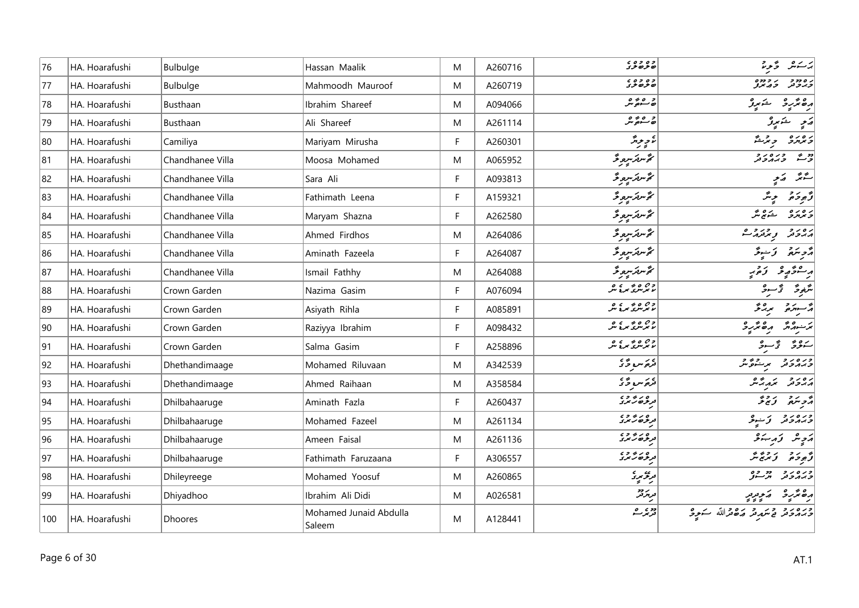| 76           | HA. Hoarafushi | <b>Bulbulge</b>  | Hassan Maalik                    | ${\sf M}$ | A260716 |                                           | ۇىر<br>برسەيىتە                                     |
|--------------|----------------|------------------|----------------------------------|-----------|---------|-------------------------------------------|-----------------------------------------------------|
| 77           | HA. Hoarafushi | Bulbulge         | Mahmoodh Mauroof                 | ${\sf M}$ | A260719 | وه وه ء<br><b>ن</b> عربي                  | ر ه دو و<br>تربر تر<br>ر و دوه<br>تر <i>ه بو</i> تو |
| 78           | HA. Hoarafushi | Busthaan         | Ibrahim Shareef                  | M         | A094066 | و مۇمۇمىر                                 | دە ئەرد<br>ے مور <sup>9</sup>                       |
| 79           | HA. Hoarafushi | Busthaan         | Ali Shareef                      | M         | A261114 | ە مەمۇمىر                                 | أركمني المستورين                                    |
| 80           | HA. Hoarafushi | Camiliya         | Mariyam Mirusha                  | F         | A260301 | تأج موجز                                  | رەرە دېرىشى                                         |
| 81           | HA. Hoarafushi | Chandhanee Villa | Moosa Mohamed                    | M         | A065952 | ڭۇستىرسرە ئە                              | و رە ر د<br><i>د بە</i> گەر<br>دين شر               |
| 82           | HA. Hoarafushi | Chandhanee Villa | Sara Ali                         | F         | A093813 | ڭۇسىترسرە ئە                              | الشقر الأمج                                         |
| 83           | HA. Hoarafushi | Chandhanee Villa | Fathimath Leena                  | F         | A159321 | ڭۇستىرسرە ئە                              | ژُودَهُ دِیْر                                       |
| 84           | HA. Hoarafushi | Chandhanee Villa | Maryam Shazna                    | F         | A262580 | ڭۇستىر سرەپە ق                            | ر ه ر ه<br>د بربر د<br>ے بچے س <i>گر</i>            |
| 85           | HA. Hoarafushi | Chandhanee Villa | Ahmed Firdhos                    | M         | A264086 | ڭۇستىرسرە ئە                              | ەرەر ۋ<br>و برْدَر ۾ ٿ                              |
| 86           | HA. Hoarafushi | Chandhanee Villa | Aminath Fazeela                  | F         | A264087 | ڭۇسىترسرە ئە                              | أزويتم ترجو                                         |
| 87           | HA. Hoarafushi | Chandhanee Villa | Ismail Fathhy                    | M         | A264088 | ڭۇسىترسمبرىتى                             | برڪوڻي وڻي                                          |
| 88           | HA. Hoarafushi | Crown Garden     | Nazima Gasim                     | F         | A076094 | د <i>0 0 مېر</i> ئامر                     | مترورة<br>تۇسىۋ                                     |
| 89           | HA. Hoarafushi | Crown Garden     | Asiyath Rihla                    | F         | A085891 | د ۵ ه و مړي<br>پرېدرۍ مړي مګر             | ة سورة برردة<br>مسورة برردة                         |
| $ 90\rangle$ | HA. Hoarafushi | Crown Garden     | Raziyya Ibrahim                  | F         | A098432 | د <i>0 ە</i> ئەيدى<br>بىر ئىرىگە ئىرى ئىر | ג׳ייחית תפיציב                                      |
| 91           | HA. Hoarafushi | Crown Garden     | Salma Gasim                      | F         | A258896 | د ۵ ه و مړي<br>پرېدرۍ مړي مګر             | سەۋىۋ<br>تۇسىۋ                                      |
| 92           | HA. Hoarafushi | Dhethandimaage   | Mohamed Riluvaan                 | M         | A342539 | ے پر ہیں گئی تھی۔<br>توجو سرچ گئی         | و ره ر و<br>تر پر ژنر<br>ىر سىرە تەر                |
| 93           | HA. Hoarafushi | Dhethandimaage   | Ahmed Raihaan                    | M         | A358584 | <br> مریر سوځ د                           | رەرد ئەرگە                                          |
| 94           | HA. Hoarafushi | Dhilbahaaruge    | Aminath Fazla                    | F         | A260437 | و د بر و ،<br>درمون تر بر <sub>ک</sub>    | أزجا سكافة الأنجافر                                 |
| 95           | HA. Hoarafushi | Dhilbahaaruge    | Mohamed Fazeel                   | M         | A261134 | و د بر و د<br>ترنژه ر بو د                | ورەرو كەنبى                                         |
| 96           | HA. Hoarafushi | Dhilbahaaruge    | Ameen Faisal                     | M         | A261136 | دره در و د                                | أتزيرها الترميني                                    |
| 97           | HA. Hoarafushi | Dhilbahaaruge    | Fathimath Faruzaana              | F         | A306557 | ه در ۶ و ۷<br>درگر <i>ه ر</i> برو         | قرودة وتروهم                                        |
| 98           | HA. Hoarafushi | Dhileyreege      | Mohamed Yoosuf                   | ${\sf M}$ | A260865 | ىرى<br>ئىرقىزىمى                          | כנסני - הכי<br><i>כג</i> ובי - יול                  |
| 99           | HA. Hoarafushi | Dhiyadhoo        | Ibrahim Ali Didi                 | M         | A026581 | وريزود                                    | برەتزرۇ كەبەيدىر<br>رەتزرۇ كەبەيد                   |
| 100          | HA. Hoarafushi | <b>Dhoores</b>   | Mohamed Junaid Abdulla<br>Saleem | M         | A128441 | دد ،<br>تربر ک                            | ورەرو وىرود رەۋاللە سەرو                            |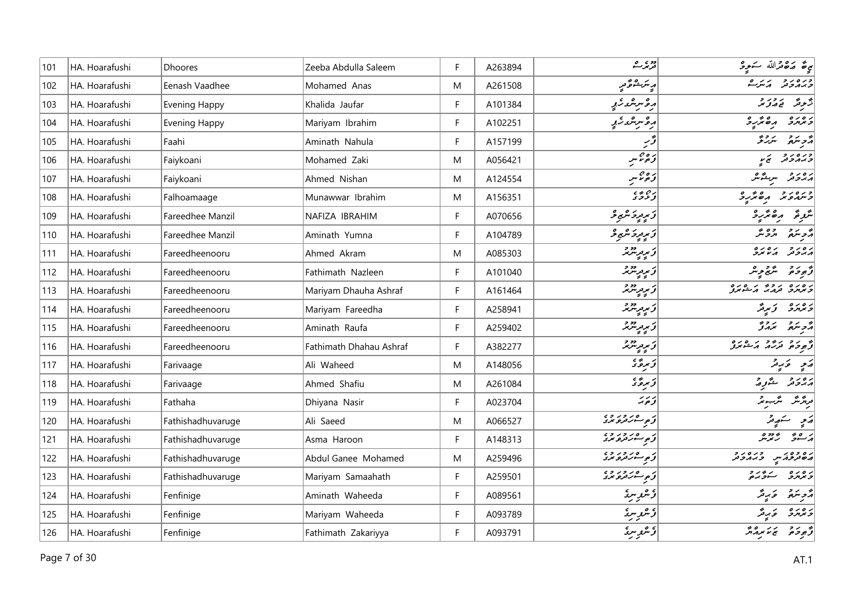| 101 | HA. Hoarafushi | <b>Dhoores</b>    | Zeeba Abdulla Saleem    | F  | A263894 | دد ،<br>تربر ک                                     | بِيرَةَ رَءَ تَرَاللّهَ سَوَرِدْ                       |
|-----|----------------|-------------------|-------------------------|----|---------|----------------------------------------------------|--------------------------------------------------------|
| 102 | HA. Hoarafushi | Eenash Vaadhee    | Mohamed Anas            | M  | A261508 | پرسَرَڪْوَ پرِ                                     | ورەرو كەك                                              |
| 103 | HA. Hoarafushi | Evening Happy     | Khalida Jaufar          | F. | A101384 | رو سر مر محد که پر                                 | أرَّحِيْرٌ - يَأْثُرُ مِرْ                             |
| 104 | HA. Hoarafushi | Evening Happy     | Mariyam Ibrahim         | F  | A102251 | ر ۋېرىش <sub>ى</sub> ر ئ <sub>ې</sub> ر            | ەھ ترىرى<br>ر ه ر ه<br><del>ر</del> بربرگ              |
| 105 | HA. Hoarafushi | Faahi             | Aminath Nahula          | F  | A157199 | أقرس                                               | أأدبتكم التردقه                                        |
| 106 | HA. Hoarafushi | Faiykoani         | Mohamed Zaki            | M  | A056421 | ازه چمیر                                           | כנסנכ בע                                               |
| 107 | HA. Hoarafushi | Faiykoani         | Ahmed Nishan            | M  | A124554 | اؤه چمېر                                           | رەرد سىشەر<br>مەردىر سىشەر                             |
| 108 | HA. Hoarafushi | Falhoamaage       | Munawwar Ibrahim        | M  | A156351 | ر 0 ء ،<br>و رو د                                  |                                                        |
| 109 | HA. Hoarafushi | Fareedhee Manzil  | NAFIZA IBRAHIM          | F  | A070656 | زَ برِ برِ برَ شَهْ بِهِ وَ                        | شرقه رەتمەر                                            |
| 110 | HA. Hoarafushi | Fareedhee Manzil  | Aminath Yumna           | F  | A104789 | زَ پرِ پرِ دَ سُمبِ وَ                             | لمجمعبه حميحه<br>پرونگر                                |
| 111 | HA. Hoarafushi | Fareedheenooru    | Ahmed Akram             | M  | A085303 | ۇ پرېږىترىر                                        | גם גם גם גם<br>הגבה העינב                              |
| 112 | HA. Hoarafushi | Fareedheenooru    | Fathimath Nazleen       | F  | A101040 | د برمرمتر پر<br>  د برمرمتر پر                     | أزُّهِ دَءُ سُنَّجِ مِسْر                              |
| 113 | HA. Hoarafushi | Fareedheenooru    | Mariyam Dhauha Ashraf   | F  | A161464 | ئەبەبەر «?<br> - ئەبەبەر                           |                                                        |
| 114 | HA. Hoarafushi | Fareedheenooru    | Mariyam Fareedha        | F  | A258941 | ۇ برىرىترىر<br>ئ                                   | د ۱۵ د و مړيگر                                         |
| 115 | HA. Hoarafushi | Fareedheenooru    | Aminath Raufa           | F  | A259402 | ئۈپرىترىترىتر                                      | أأزوبتره بمدرق                                         |
| 116 | HA. Hoarafushi | Fareedheenooru    | Fathimath Dhahau Ashraf | F  | A382277 | ئەبىر بىر بىر<br> - ئەس                            | تحجيجة والمرجع المراجع والمحمدة                        |
| 117 | HA. Hoarafushi | Farivaage         | Ali Waheed              | M  | A148056 | ر<br>توموڅ ت                                       | أەسمج المحاسقر                                         |
| 118 | HA. Hoarafushi | Farivaage         | Ahmed Shafiu            | M  | A261084 | تر بردم د<br>تر بردگا                              | رەرد شرور                                              |
| 119 | HA. Hoarafushi | Fathaha           | Dhiyana Nasir           | F. | A023704 | ترەپر                                              | ا پروگرمگر گرگر برگر<br>مروگرمگر گرگر برگر             |
| 120 | HA. Hoarafushi | Fathishadhuvaruge | Ali Saeed               | M  | A066527 | کړه د سر د د د د د د                               | ړې خپه تر                                              |
| 121 | HA. Hoarafushi | Fathishadhuvaruge | Asma Haroon             | F  | A148313 | تو جو سور در در در در در حراجه<br>  تو جو سور تعری | ړ ده و ووه                                             |
| 122 | HA. Hoarafushi | Fathishadhuvaruge | Abdul Ganee Mohamed     | M  | A259496 | ن و رور و د<br>اق و سور ترو بر د                   | גפינקית בג'וניק                                        |
| 123 | HA. Hoarafushi | Fathishadhuvaruge | Mariyam Samaahath       | F  | A259501 | ر م رور و ،<br>د ه سورتره مرد                      | ر بر در د<br>سوزېره<br>ر ه بر ه<br><del>د</del> بربر د |
| 124 | HA. Hoarafushi | Fenfinige         | Aminath Waheeda         | F  | A089561 | ئۇ يى <sub>مە</sub> يەرى<br>                       | تزجر تكتم وأباقر                                       |
| 125 | HA. Hoarafushi | Fenfinige         | Mariyam Waheeda         | F. | A093789 | ڈیٹرویریڈ                                          | ر ه ر ه<br>د بربرگ<br>ءَ ٻرِ تَرُ                      |
| 126 | HA. Hoarafushi | Fenfinige         | Fathimath Zakariyya     | F  | A093791 | ۇيموسۇ                                             | توجدة بمكتبره                                          |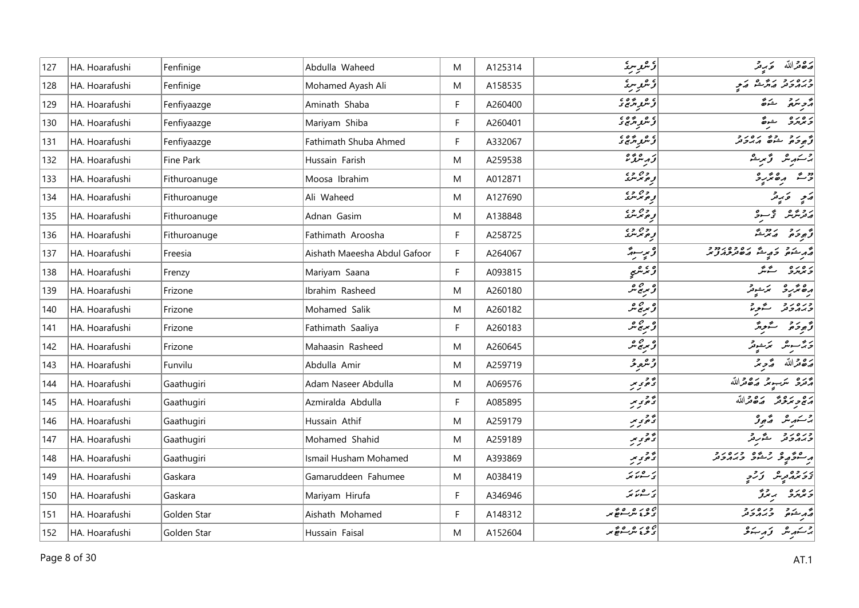| 127 | HA. Hoarafushi | Fenfinige    | Abdulla Waheed               | M         | A125314 | ئۇيتروپىرى<br>                                     | أشكام متراكله أتحرير                        |
|-----|----------------|--------------|------------------------------|-----------|---------|----------------------------------------------------|---------------------------------------------|
| 128 | HA. Hoarafushi | Fenfinige    | Mohamed Ayash Ali            | M         | A158535 | ڈیٹربوریڈ                                          | وره رو رو ه کو                              |
| 129 | HA. Hoarafushi | Fenfiyaazge  | Aminath Shaba                | F         | A260400 | ء عرو پر ہ                                         |                                             |
| 130 | HA. Hoarafushi | Fenfiyaazge  | Mariyam Shiba                | F         | A260401 | ع عروج ء ۽<br><mark>ز</mark> سربر پنج <sub>ت</sub> | تره ره شودهٔ                                |
| 131 | HA. Hoarafushi | Fenfiyaazge  | Fathimath Shuba Ahmed        | F         | A332067 | ئۇ شرىر شەھ ئ                                      | تحديدة بده بره برويد                        |
| 132 | HA. Hoarafushi | Fine Park    | Hussain Farish               | M         | A259538 | أؤرغونه                                            | رحم المرسم ومحرجة                           |
| 133 | HA. Hoarafushi | Fithuroanuge | Moosa Ibrahim                | M         | A012871 | وه وه<br>د وړند                                    | 5, 2, 0, 2, 3                               |
| 134 | HA. Hoarafushi | Fithuroanuge | Ali Waheed                   | ${\sf M}$ | A127690 | و ۵ و ۵<br>و ه مرس                                 | أەسم وكرو                                   |
| 135 | HA. Hoarafushi | Fithuroanuge | Adnan Gasim                  | M         | A138848 | وه وه وه                                           | روموير ويجاره                               |
| 136 | HA. Hoarafushi | Fithuroanuge | Fathimath Aroosha            | F         | A258725 | وه وه<br>د مرس                                     | و و د در در د                               |
| 137 | HA. Hoarafushi | Freesia      | Aishath Maeesha Abdul Gafoor | F.        | A264067 | و <sub>مو</sub> سوړم<br>په سر                      |                                             |
| 138 | HA. Hoarafushi | Frenzy       | Mariyam Saana                | F         | A093815 | و بر مربي                                          | ره ره شهر                                   |
| 139 | HA. Hoarafushi | Frizone      | Ibrahim Rasheed              | M         | A260180 | ە مرى<br>ئو <sub>مىرى</sub> ن مىر                  | رەترىرۇ ترىنونر                             |
| 140 | HA. Hoarafushi | Frizone      | Mohamed Salik                | M         | A260182 | ومرجمثر                                            | ورەرو ئىور                                  |
| 141 | HA. Hoarafushi | Frizone      | Fathimath Saaliya            | F         | A260183 | ومرجمر                                             | رًّمُودَةً سُنْرِيزً                        |
| 142 | HA. Hoarafushi | Frizone      | Mahaasin Rasheed             | M         | A260645 | ۇىرىمىگە                                           | كالأرسوش الكرسوفر                           |
| 143 | HA. Hoarafushi | Funvilu      | Abdulla Amir                 | M         | A259719 | ۇ ئىرو ئى                                          | ح قوم الله ح قرحه                           |
| 144 | HA. Hoarafushi | Gaathugiri   | Adam Naseer Abdulla          | M         | A069576 | ۶ و<br>  د حو د مر                                 | أزمره ترجع وكامرالله                        |
| 145 | HA. Hoarafushi | Gaathugiri   | Azmiralda Abdulla            | F.        | A085895 | ء و<br>ترخی تر سر<br>سر ر                          | ويحو يحرفونش وكالهي الله                    |
| 146 | HA. Hoarafushi | Gaathugiri   | Hussain Athif                | M         | A259179 | الحقور مر<br>الحقور مر                             | جاسكهر شرقه ومجمور                          |
| 147 | HA. Hoarafushi | Gaathugiri   | Mohamed Shahid               | M         | A259189 | ائینی<br>  دیگری مر                                | ورەر دەر ئەر                                |
| 148 | HA. Hoarafushi | Gaathugiri   | Ismail Husham Mohamed        | M         | A393869 | ء و<br>گھىمى مر                                    | د صغر و دره دره در در د                     |
| 149 | HA. Hoarafushi | Gaskara      | Gamaruddeen Fahumee          | M         | A038419 | ر ھ.<br>ئەسىرىمە                                   | ر ده د شهر و د د د<br>د د برو د شهر و د د د |
| 150 | HA. Hoarafushi | Gaskara      | Mariyam Hirufa               | F         | A346946 | ىر ھەيزىر                                          | ره ده ود                                    |
| 151 | HA. Hoarafushi | Golden Star  | Aishath Mohamed              | F.        | A148312 | ە دېر ھ <sub>ر</sub> ھەتھ <sub>ى</sub> ر           | وكرشن وره دو                                |
| 152 | HA. Hoarafushi | Golden Star  | Hussain Faisal               | M         | A152604 | <i>? و ري ه ع</i> تو                               | يزخيرند أوربتك                              |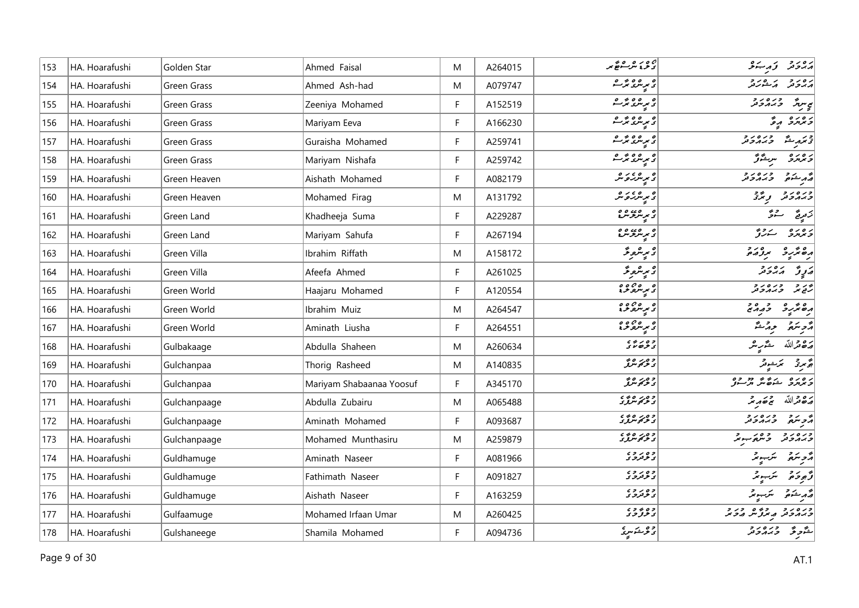| 153 | HA. Hoarafushi | Golden Star        | Ahmed Faisal             | M         | A264015 | 2010 م شرعي تيم تيم تيم السياسي<br> توخر <u>۽</u> شرڪ شرڪ تيم | أرجود وكرجو                                                   |
|-----|----------------|--------------------|--------------------------|-----------|---------|---------------------------------------------------------------|---------------------------------------------------------------|
| 154 | HA. Hoarafushi | <b>Green Grass</b> | Ahmed Ash-had            | M         | A079747 | ە يەر مۇرگە                                                   | رەرد كەشرىر                                                   |
| 155 | HA. Hoarafushi | <b>Green Grass</b> | Zeeniya Mohamed          | F         | A152519 | <sub>ئە مو</sub> روپۇرىيە                                     | و رە ر د<br>تر پر تر تر<br>  پې سرچګر                         |
| 156 | HA. Hoarafushi | <b>Green Grass</b> | Mariyam Eeva             | F         | A166230 | ە بەيرى <i>گەنگە</i> گ                                        | د ه ده د و گ                                                  |
| 157 | HA. Hoarafushi | <b>Green Grass</b> | Guraisha Mohamed         | F         | A259741 | <sub>2 مو</sub> يدى تر ے                                      | و ره ر و<br><i>و ټ</i> ه و تر<br>چ ئى <sub>رىم</sub> ىشە<br>ئ |
| 158 | HA. Hoarafushi | <b>Green Grass</b> | Mariyam Nishafa          | F         | A259742 | <sub>ئە مو</sub> رمۇ ئ <sup>ۇر م</sup>                        | رەرە سەمۇم<br>تەيرىرى سىشۇر                                   |
| 159 | HA. Hoarafushi | Green Heaven       | Aishath Mohamed          | F         | A082179 | دېمپرېږي په کلي<br>  دېمپرېږي پېړ                             | ه دره دره در د                                                |
| 160 | HA. Hoarafushi | Green Heaven       | Mohamed Firag            | ${\sf M}$ | A131792 | ە <sub>مو</sub> بۇرى ئە                                       | ورەر دېگر                                                     |
| 161 | HA. Hoarafushi | Green Land         | Khadheeja Suma           | F         | A229287 | ئەسپەرتۇشقا                                                   | زَمِرِيَّ سُرْرَّ                                             |
| 162 | HA. Hoarafushi | Green Land         | Mariyam Sahufa           | F         | A267194 | ئ <sub>ە مە</sub> ر ئۇيدى<br>                                 | رەرە سەدۇ                                                     |
| 163 | HA. Hoarafushi | Green Villa        | Ibrahim Riffath          | M         | A158172 | <sup>ە</sup> بې <sup>تر</sup> بۇ                              | ەر ھەتمەر 2<br>ر<br>برودة                                     |
| 164 | HA. Hoarafushi | Green Villa        | Afeefa Ahmed             | F         | A261025 | ە بېرى <sup>ر</sup> ىدۇ.<br>ئ                                 | أمار والمرد والمرد                                            |
| 165 | HA. Hoarafushi | Green World        | Haajaru Mohamed          | F         | A120554 | <br>  د سر سره و و و                                          | به در وره د و.<br>رقع بر المرکزار                             |
| 166 | HA. Hoarafushi | Green World        | Ibrahim Muiz             | M         | A264547 | ه پر پر ۱۳۵۴ و                                                | תפתק כתחי                                                     |
| 167 | HA. Hoarafushi | Green World        | Aminath Liusha           | F         | A264551 | ه پر پر ۱۳۶۴ و                                                | أأزجر سترقه ويرفسه                                            |
| 168 | HA. Hoarafushi | Gulbakaage         | Abdulla Shaheen          | M         | A260634 | وه ر د د<br>د <del>گر</del> ه مړ                              | بر25 اللّه<br>- مقربر مر                                      |
| 169 | HA. Hoarafushi | Gulchanpaa         | Thorig Rasheed           | M         | A140835 | د وه پر ۱۳۵۵ کر                                               | جومرتى مكرشونر                                                |
| 170 | HA. Hoarafushi | Gulchanpaa         | Mariyam Shabaanaa Yoosuf | F         | A345170 | <i>د وي شرگ</i> ر                                             | ره ره د د ده د وه<br>د بربرد شوځش بر سور                      |
| 171 | HA. Hoarafushi | Gulchanpaage       | Abdulla Zubairu          | M         | A065488 | و ه پر ۵ پر پ<br>پر <del>ن</del> وکتی سرتی ت                  | مەھىراللە مەم مە                                              |
| 172 | HA. Hoarafushi | Gulchanpaage       | Aminath Mohamed          | F         | A093687 | و ہ پر ہ د د ،<br>پر <del>ن</del> وکھ سرتی پر                 | הכיתם במסגב                                                   |
| 173 | HA. Hoarafushi | Gulchanpaage       | Mohamed Munthasiru       | M         | A259879 | و ەر مەر ،<br>ئەنزى سرتى                                      | כנסני כסנה ב                                                  |
| 174 | HA. Hoarafushi | Guldhamuge         | Aminath Naseer           | F         | A081966 | و ه ر و ،<br>د نوترو د                                        | مەھ سىر سىر يىلىمى ئىستىدىكى ئىس                              |
| 175 | HA. Hoarafushi | Guldhamuge         | Fathimath Naseer         | F         | A091827 | و ه ر و ،<br>د نوترو د                                        | أقهوحكم الترسونمر                                             |
| 176 | HA. Hoarafushi | Guldhamuge         | Aishath Naseer           | F         | A163259 | و ه ر و ،<br>د نوترو د                                        | وكرم شكوم الكرسومر                                            |
| 177 | HA. Hoarafushi | Gulfaamuge         | Mohamed Irfaan Umar      | M         | A260425 | وه و و ء<br>  <mark>ۍ نوگر</mark> تر ي                        | כנים ניבי השנצית הכיב                                         |
| 178 | HA. Hoarafushi | Gulshaneege        | Shamila Mohamed          | F         | A094736 | و و شر سر <sup>ج</sup>                                        | شورق وبرەرو                                                   |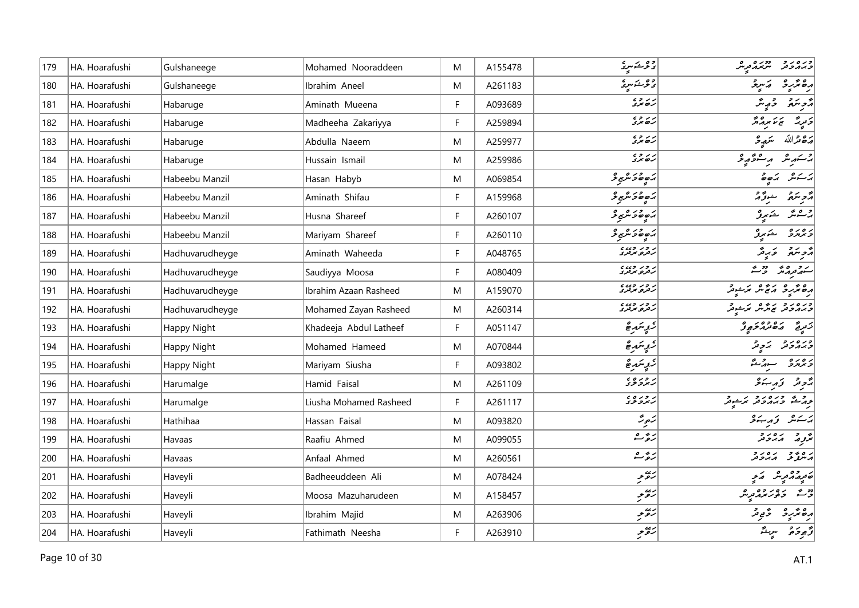| 179 | HA. Hoarafushi | Gulshaneege     | Mohamed Nooraddeen     | M           | A155478 | ئۇغۇمبر <sup>ى</sup>               | وره رو معرد مهره<br><i>وبرو</i> وتر سربروترین                  |
|-----|----------------|-----------------|------------------------|-------------|---------|------------------------------------|----------------------------------------------------------------|
| 180 | HA. Hoarafushi | Gulshaneege     | Ibrahim Aneel          | M           | A261183 | <br>  د قرشه سره                   | ە ھەترىر <sup>ە</sup><br>ە ئىبرىتر                             |
| 181 | HA. Hoarafushi | Habaruge        | Aminath Mueena         | F           | A093689 | ر ر و ،<br>رەبور                   | أأرمده                                                         |
| 182 | HA. Hoarafushi | Habaruge        | Madheeha Zakariyya     | F           | A259894 | ر ر و ،<br>رَ@ىرى                  | ئە تەرىبە<br>ئ<br>ى ئەسىرە بىر                                 |
| 183 | HA. Hoarafushi | Habaruge        | Abdulla Naeem          | M           | A259977 | ر ر د ،<br>ره بر <u>،</u>          | ەھىراللە<br>سكەپە                                              |
| 184 | HA. Hoarafushi | Habaruge        | Hussain Ismail         | M           | A259986 | ر ر و ،<br>رَ@ىوی                  | برسكريش وستوكيو                                                |
| 185 | HA. Hoarafushi | Habeebu Manzil  | Hasan Habyb            | M           | A069854 | ر<br>پەھەر سىبى ئە                 | بُرَسَسٌ بَرَهِ جُ                                             |
| 186 | HA. Hoarafushi | Habeebu Manzil  | Aminath Shifau         | F           | A159968 | ر<br>پەھەر ئىرى <sub>ب</sub>       | ۇ ئەسكە<br>شەۋكە                                               |
| 187 | HA. Hoarafushi | Habeebu Manzil  | Husna Shareef          | F           | A260107 | ر<br>پەھەر تىرى بى                 | ر مار<br>بر مارگر<br>ے مور                                     |
| 188 | HA. Hoarafushi | Habeebu Manzil  | Mariyam Shareef        | F           | A260110 | ئەھۇشبو ۋ                          | ر ه بر ه<br><del>د</del> بربرگ<br>ے مور                        |
| 189 | HA. Hoarafushi | Hadhuvarudheyge | Aminath Waheeda        | $\mathsf F$ | A048765 | ر و ر وړ، ،<br>رتوبو بوتو ت        | ړ ځې سرچ<br>ءَ ٻرقر                                            |
| 190 | HA. Hoarafushi | Hadhuvarudheyge | Saudiyya Moosa         | F           | A080409 | ر و ر ود، ء<br>رتوح بوتوى          | سەدەرە «ئ                                                      |
| 191 | HA. Hoarafushi | Hadhuvarudheyge | Ibrahim Azaan Rasheed  | M           | A159070 | ر و ر ود، ،<br>رتوح بوتوی          | رە ئەر ئەر ئەس ئە                                              |
| 192 | HA. Hoarafushi | Hadhuvarudheyge | Mohamed Zayan Rasheed  | M           | A260314 | ر و ر وړ، ،<br>رتوح بوتوی          | وره رو برنور برشوتر<br><i>وبرو</i> وتر برش <sup>0</sup> برشوتر |
| 193 | HA. Hoarafushi | Happy Night     | Khadeeja Abdul Latheef | F           | A051147 | ر و پر پر مح<br>مربع مربع          | ر ده ده ده د مختبر د کلیدان<br>منظم د منظم در در د             |
| 194 | HA. Hoarafushi | Happy Night     | Mohamed Hameed         | M           | A070844 | <sup>ي</sup> پ <sub>و</sub> سَرە ھ | وره رو برود                                                    |
| 195 | HA. Hoarafushi | Happy Night     | Mariyam Siusha         | F           | A093802 | ر و پرې <i>د</i> غ                 | ويوره سورية                                                    |
| 196 | HA. Hoarafushi | Harumalge       | Hamid Faisal           | M           | A261109 | ر وره ،<br>ربرونور                 | يحوقر أأوجدهم                                                  |
| 197 | HA. Hoarafushi | Harumalge       | Liusha Mohamed Rasheed | F           | A261117 | ر وره ،<br>ر <del>ب</del> رونوی    | وارث وبرودو برجود                                              |
| 198 | HA. Hoarafushi | Hathihaa        | Hassan Faisal          | M           | A093820 | ئەموش                              | برسكش قرمر يرو                                                 |
| 199 | HA. Hoarafushi | Havaas          | Raafiu Ahmed           | M           | A099055 | ئەۋىشە                             | بمرورة الماردور                                                |
| 200 | HA. Hoarafushi | Havaas          | Anfaal Ahmed           | M           | A260561 | رۇپ                                | ر ه و د بر د د                                                 |
| 201 | HA. Hoarafushi | Haveyli         | Badheeuddeen Ali       | M           | A078424 | ريحو                               | פ <sub>ונמ</sub> ת מית הי                                      |
| 202 | HA. Hoarafushi | Haveyli         | Moosa Mazuharudeen     | M           | A158457 | ريمو                               | دو م ده د وه ره<br>د سه د <i>نور برو در ش</i>                  |
| 203 | HA. Hoarafushi | Haveyli         | Ibrahim Majid          | M           | A263906 | رَءَ م                             | رە ئەر ئىمى                                                    |
| 204 | HA. Hoarafushi | Haveyli         | Fathimath Neesha       | E           | A263910 | رەيە<br>رەبىر                      | وَّأُمُّ وَحَمْدٍ سَرِيشٌ                                      |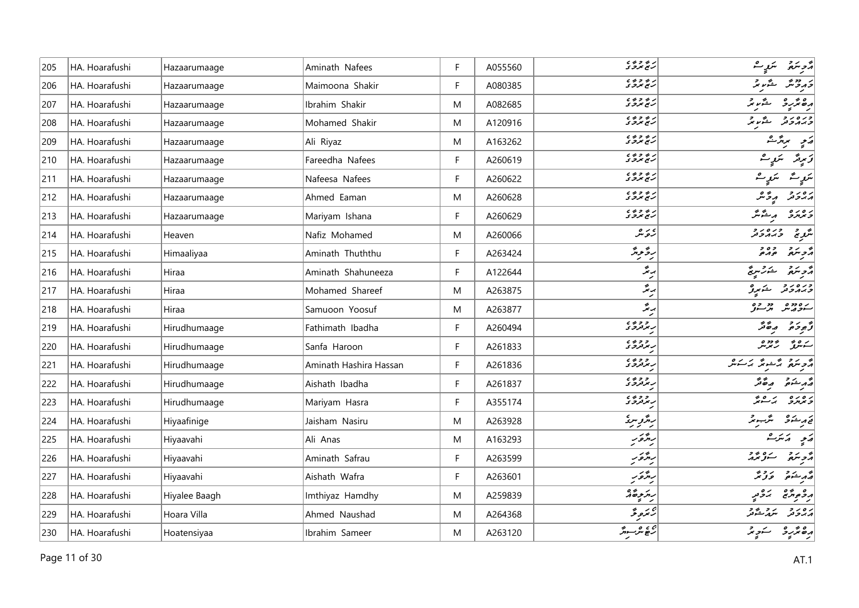| 205 | HA. Hoarafushi | Hazaarumaage  | Aminath Nafees         | F  | A055560 | ر ۶ و ۶ ی<br>رسخ بوری             | سَموٍے<br>أرمحه سنبتي                                                                                     |
|-----|----------------|---------------|------------------------|----|---------|-----------------------------------|-----------------------------------------------------------------------------------------------------------|
| 206 | HA. Hoarafushi | Hazaarumaage  | Maimoona Shakir        | F. | A080385 | ر ۶ و ۶ ه<br>رسخ مور د            | ىشەرىر<br>ىر دەمئە<br>ئ                                                                                   |
| 207 | HA. Hoarafushi | Hazaarumaage  | Ibrahim Shakir         | M  | A082685 | ر بر و بر ،<br>رسخ بوری           | دە ئەرد<br>ىشەر بر                                                                                        |
| 208 | HA. Hoarafushi | Hazaarumaage  | Mohamed Shakir         | M  | A120916 | ر پر و د ،<br>رسخ برو د           | و ر ه ر د<br>تر پر ژ تر<br>شقەر جە                                                                        |
| 209 | HA. Hoarafushi | Hazaarumaage  | Ali Riyaz              | M  | A163262 | ر ۶ و ۶ ی<br>رسخ مرو ی            | ړې برېژن <sup>ه</sup>                                                                                     |
| 210 | HA. Hoarafushi | Hazaarumaage  | Fareedha Nafees        | F  | A260619 | ر ۶ و ۶ ء<br>رسخ مور د            | ۇي <sub>و</sub> نڈ شموٍے                                                                                  |
| 211 | HA. Hoarafushi | Hazaarumaage  | Nafeesa Nafees         | F  | A260622 | ر بر و بر ،<br>رسخ بوری           | شموٍے سموے                                                                                                |
| 212 | HA. Hoarafushi | Hazaarumaage  | Ahmed Eaman            | M  | A260628 | ر ۶ و ۶ ء<br>رسم مرو ی            | ړه د پرځنگر                                                                                               |
| 213 | HA. Hoarafushi | Hazaarumaage  | Mariyam Ishana         | F. | A260629 | ر پر و د ،<br>رسخ مرو د           | رەرە مىشەگ                                                                                                |
| 214 | HA. Hoarafushi | Heaven        | Nafiz Mohamed          | M  | A260066 | ى رە<br>سرە بىر                   | و رە ر د<br>تر پروتر<br>سَّعرِ حَ                                                                         |
| 215 | HA. Hoarafushi | Himaaliyaa    | Aminath Thuththu       | F. | A263424 | رۇپەر                             | و ه و<br>ح مرمح<br>ړې سرچ                                                                                 |
| 216 | HA. Hoarafushi | Hiraa         | Aminath Shahuneeza     | F. | A122644 | بریڅر                             | شەر سرچ<br>أرمز                                                                                           |
| 217 | HA. Hoarafushi | Hiraa         | Mohamed Shareef        | M  | A263875 | برتژ                              | ورەرو شەرۋ                                                                                                |
| 218 | HA. Hoarafushi | Hiraa         | Samuoon Yoosuf         | M  | A263877 | برتمر                             | دد حره<br>مرسسو<br>يە دەھ بىر                                                                             |
| 219 | HA. Hoarafushi | Hirudhumaage  | Fathimath Ibadha       | F  | A260494 | ر و و د »<br>ر بوتور و            | أزودة مقتر                                                                                                |
| 220 | HA. Hoarafushi | Hirudhumaage  | Sanfa Haroon           | F  | A261833 | ر و و د »<br>ر بوتور و            | سەمىر ئەدەرە                                                                                              |
| 221 | HA. Hoarafushi | Hirudhumaage  | Aminath Hashira Hassan | F  | A261836 | ر و و و ،<br>ر بوترو <sub>ک</sub> | ړٌ د سَمَ پَر شوسَ برَ سَه سَر                                                                            |
| 222 | HA. Hoarafushi | Hirudhumaage  | Aishath Ibadha         | F  | A261837 | ر و و و ء<br>ر برترو د            | ړ د ده د ځتر                                                                                              |
| 223 | HA. Hoarafushi | Hirudhumaage  | Mariyam Hasra          | F. | A355174 | ر ۶۶۶ و.<br>مرموتوگر              | ر ه ر ه<br><del>د</del> بربرگر<br>برُڪبر                                                                  |
| 224 | HA. Hoarafushi | Hiyaafinige   | Jaisham Nasiru         | M  | A263928 | ىر پۇ بورى<br>بە                  | ىئرىبەير<br>ائے <sub>مر</sub> شتر 3<br>سطر                                                                |
| 225 | HA. Hoarafushi | Hiyaavahi     | Ali Anas               | M  | A163293 | رېژوَر                            | أوسمج أوسكرك                                                                                              |
| 226 | HA. Hoarafushi | Hiyaavahi     | Aminath Safrau         | F  | A263599 | رېژوَر                            | پ <sup>ر</sup> تر سرچ<br>سەۋىترە                                                                          |
| 227 | HA. Hoarafushi | Hiyaavahi     | Aishath Wafra          | F  | A263601 | رېژوَر                            | و در در در در در در در بارد و بارد کرد کرد کرد که در این کرد که در این که ایسان که با کرد که با کرد که با |
| 228 | HA. Hoarafushi | Hiyalee Baagh | Imthiyaz Hamdhy        | M  | A259839 | ىر تىر ئەھ<br>ئە                  |                                                                                                           |
| 229 | HA. Hoarafushi | Hoara Villa   | Ahmed Naushad          | M  | A264368 | لتحيموقر                          | پروژبر<br>ىر 7 مەس<br>سىمەكسىتىلىر                                                                        |
| 230 | HA. Hoarafushi | Hoatensiyaa   | Ibrahim Sameer         | M  | A263120 | <sup>م</sup> ع مر ب پر            | رە ئۆر ئەر ئە                                                                                             |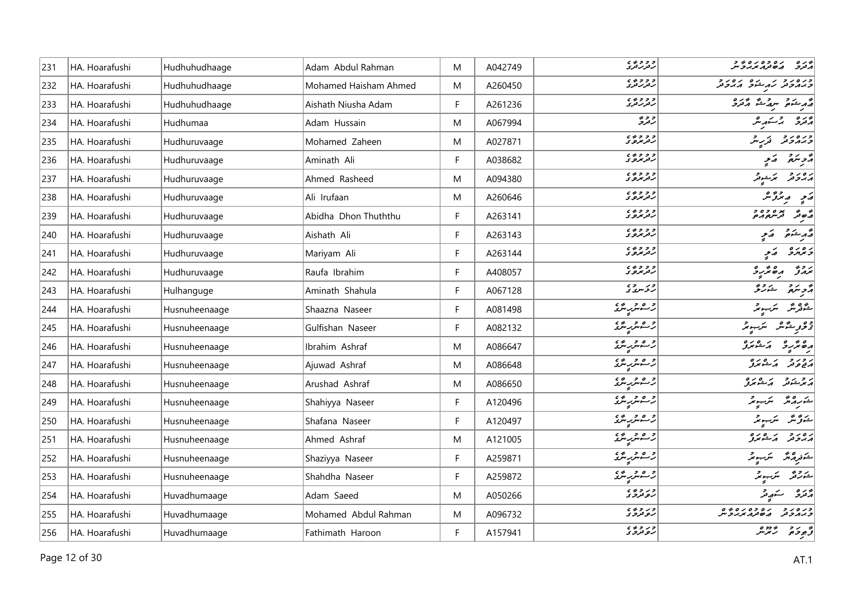| 231 | HA. Hoarafushi | Hudhuhudhaage | Adam Abdul Rahman     | M         | A042749 | و و و ر د<br>ر تور تور                  | پره ره ده ده د و<br>منرچ مان در برگرس                    |
|-----|----------------|---------------|-----------------------|-----------|---------|-----------------------------------------|----------------------------------------------------------|
| 232 | HA. Hoarafushi | Hudhuhudhaage | Mohamed Haisham Ahmed | M         | A260450 | و و و ر د<br>ر تور تور                  | ورەرو رەرشۇ كەردو                                        |
| 233 | HA. Hoarafushi | Hudhuhudhaage | Aishath Niusha Adam   | F         | A261236 | و و و د »<br>ر تور تو ت                 | وكرمشكي سروعة وكرو                                       |
| 234 | HA. Hoarafushi | Hudhumaa      | Adam Hussain          | M         | A067994 | و و په<br>رندو                          | وره چرمهر                                                |
| 235 | HA. Hoarafushi | Hudhuruvaage  | Mohamed Zaheen        | M         | A027871 | و و و د د<br>ر توبوړۍ                   | ورەرو بريد                                               |
| 236 | HA. Hoarafushi | Hudhuruvaage  | Aminath Ali           | F         | A038682 | و و و د  ،<br>رکوبوړۍ                   | أزوينهم أرمع                                             |
| 237 | HA. Hoarafushi | Hudhuruvaage  | Ahmed Rasheed         | ${\sf M}$ | A094380 | و و و د  ي<br>ر تو پرې                  | رەر دىكىشىش                                              |
| 238 | HA. Hoarafushi | Hudhuruvaage  | Ali Irufaan           | ${\sf M}$ | A260646 | و و و د د<br>رکتربوړۍ                   | ە ئور مەترىپ                                             |
| 239 | HA. Hoarafushi | Hudhuruvaage  | Abidha Dhon Thuththu  | F         | A263141 | و و و د د<br>ر توبرو د                  | يو ه و ه و<br>ترسرچ پر ج<br>د گھ تر<br>م                 |
| 240 | HA. Hoarafushi | Hudhuruvaage  | Aishath Ali           | F         | A263143 | و و و د  ،<br>رند برو د                 | مەر خىم كەم                                              |
| 241 | HA. Hoarafushi | Hudhuruvaage  | Mariyam Ali           | F         | A263144 | و و و د  ،<br>رتوبرو <sub>ک</sub>       | أدعدو كمني                                               |
| 242 | HA. Hoarafushi | Hudhuruvaage  | Raufa Ibrahim         | F         | A408057 | و و و د د<br>ر توبرو د                  | بروو مقدره                                               |
| 243 | HA. Hoarafushi | Hulhanguge    | Aminath Shahula       | F         | A067128 | و پر سر و <sup>ي</sup>                  | ومحر المتوسط المستوريخ                                   |
| 244 | HA. Hoarafushi | Husnuheenaage | Shaazna Naseer        | F         | A081498 | ر مەش <sub>رىپ</sub> ىدى<br>مەسرىپە     | شۇرىگە - سەيدىر                                          |
| 245 | HA. Hoarafushi | Husnuheenaage | Gulfishan Naseer      | F         | A082132 | ر مەش <sub>رىپ</sub> ىدىكى<br>مەسىر     | ووريثه لترجيز                                            |
| 246 | HA. Hoarafushi | Husnuheenaage | Ibrahim Ashraf        | ${\sf M}$ | A086647 | ر مەش <sub>رىپ</sub> ىدىكى<br>مەسىر     | دەنزىرو كەشىرو                                           |
| 247 | HA. Hoarafushi | Husnuheenaage | Ajuwad Ashraf         | M         | A086648 | ر مەش <sub>رىپ</sub> ىدىكى<br>مەسىر     | ر ور و کرے ده<br>مقام کر ک                               |
| 248 | HA. Hoarafushi | Husnuheenaage | Arushad Ashraf        | M         | A086650 | ر مەيرى <sub>ر بىرى</sub><br>مەسرىپەتتە | بروردو بره بره                                           |
| 249 | HA. Hoarafushi | Husnuheenaage | Shahiyya Naseer       | F         | A120496 | ج مەمبر يىرى<br>ئەسرىيەتلىكى            | كالروائل الكرسونى                                        |
| 250 | HA. Hoarafushi | Husnuheenaage | Shafana Naseer        | F         | A120497 | <i>ج مەمۇر پىرى</i><br>مەسىر بىرىدىكى   | ئەۋگە ئىكەنچە                                            |
| 251 | HA. Hoarafushi | Husnuheenaage | Ahmed Ashraf          | M         | A121005 | ر مەيرى <sub>ر بىرى</sub><br>مەسرىپەتتە | ره رو بر ۱۵ ره<br>م.رونر بر شویرو                        |
| 252 | HA. Hoarafushi | Husnuheenaage | Shaziyya Naseer       | F         | A259871 | ر مەش <sub>رىپ</sub> ىدىكى<br>مەسىر     | شكورها كرسوند                                            |
| 253 | HA. Hoarafushi | Husnuheenaage | Shahdha Naseer        | F         | A259872 | 2 مەش <sub>رىپ</sub> ىدى.<br>مەسرىپە    | أخور مگر میگر میکند که استفاده به می                     |
| 254 | HA. Hoarafushi | Huvadhumaage  | Adam Saeed            | ${\sf M}$ | A050266 | و ر و » ،<br>ره ترو د                   | پر ده ستهرس                                              |
| 255 | HA. Hoarafushi | Huvadhumaage  | Mohamed Abdul Rahman  | M         | A096732 | و ر و د »<br>ره ترو د                   | ره وه ره د ه<br>پره تربر برر څس<br>و ره ر و<br>د بر د تر |
| 256 | HA. Hoarafushi | Huvadhumaage  | Fathimath Haroon      | F         | A157941 | و ر و د  ،<br>روترو د                   | أو دو ودوه                                               |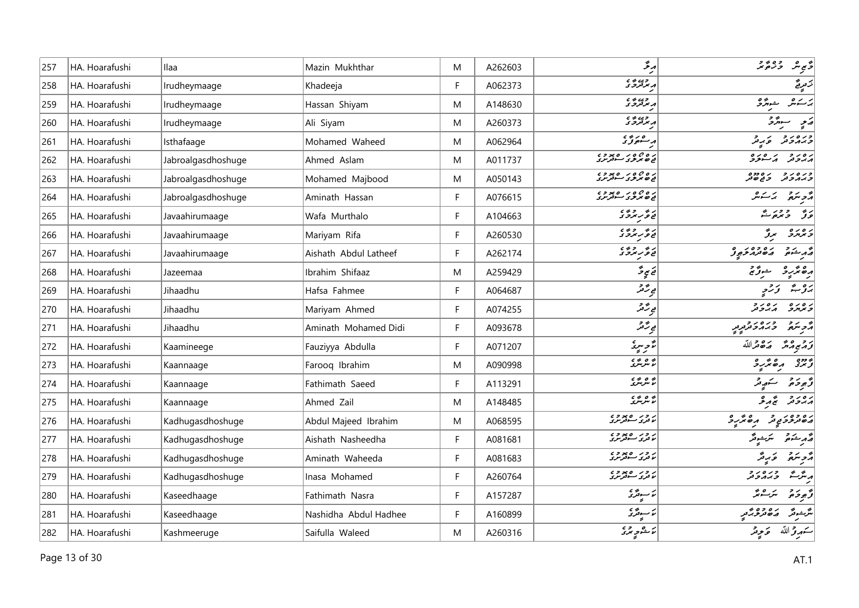| 257 | HA. Hoarafushi | Ilaa               | Mazin Mukhthar        | ${\sf M}$ | A262603 | برمج                                          | و ه و و<br>تر شر هم مر<br>ۇ <sub>ئىچە</sub> شر      |
|-----|----------------|--------------------|-----------------------|-----------|---------|-----------------------------------------------|-----------------------------------------------------|
| 258 | HA. Hoarafushi | Irudheymaage       | Khadeeja              | F         | A062373 | و ده و د و<br>در مونورو د                     | ر<br>ترتويعً                                        |
| 259 | HA. Hoarafushi | Irudheymaage       | Hassan Shiyam         | ${\sf M}$ | A148630 | <br>  پر بوتر پر ی                            | بزسەيىتىر<br>شەدگرى                                 |
| 260 | HA. Hoarafushi | Irudheymaage       | Ali Siyam             | M         | A260373 | و پره پر د<br>در موتور و                      | ړې سرگرد                                            |
| 261 | HA. Hoarafushi | Isthafaage         | Mohamed Waheed        | ${\sf M}$ | A062964 | ەر بەر » »<br>مەسىمى تو ئ                     | ورەر دىر د                                          |
| 262 | HA. Hoarafushi | Jabroalgasdhoshuge | Ahmed Aslam           | M         | A011737 | ر ۵ ۵ ۵ د _ ۵ پو و ٤<br>بی ت تورو کر سوتورو ک | ړه رو پر ۱۵۷۵                                       |
| 263 | HA. Hoarafushi | Jabroalgasdhoshuge | Mohamed Majbood       | M         | A050143 | ر ۵ ۵ ۵ د _ ۵ پو و ٤<br>نئے ت توموی سسوتوموی  | כנים גם גם בס<br>כג <mark>ו</mark> ב בבי <i>ס</i> ת |
| 264 | HA. Hoarafushi | Jabroalgasdhoshuge | Aminath Hassan        | F         | A076615 | ر ۵ 0 0 ر ۔ ۵ پر و c<br>تع ن نوموی سسوتوری    | ړٌ د سره پر کامل                                    |
| 265 | HA. Hoarafushi | Javaahirumaage     | Wafa Murthalo         | F         | A104663 | ئەۋرىزدۇ ئ                                    | ى ئۇ ئەتمەم ئىگە                                    |
| 266 | HA. Hoarafushi | Javaahirumaage     | Mariyam Rifa          | F         | A260530 | پر څر پر چري<br>  پنج مر پر چر <sub>چ</sub>   | ر ه بر ه<br>تر <del>ب</del> ر بر ژ<br>ىجزى          |
| 267 | HA. Hoarafushi | Javaahirumaage     | Aishath Abdul Latheef | F         | A262174 | پر څر پر چري<br>  پنج مر پر چر <sub>چ</sub>   | د در ده ده ده ده و                                  |
| 268 | HA. Hoarafushi | Jazeemaa           | Ibrahim Shifaaz       | ${\sf M}$ | A259429 | تع نیچ تخر                                    | شەۋگى<br>ەر ھەترىر <i>2</i>                         |
| 269 | HA. Hoarafushi | Jihaadhu           | Hafsa Fahmee          | F         | A064687 | ہج تر تو                                      | بروية أورمي                                         |
| 270 | HA. Hoarafushi | Jihaadhu           | Mariyam Ahmed         | F         | A074255 | ہے مرکمتر                                     | پروژو<br>ر ه ر ه<br><del>د</del> بربرگر             |
| 271 | HA. Hoarafushi | Jihaadhu           | Aminath Mohamed Didi  | F         | A093678 | ى <i>ي ر</i> گىر<br>م                         | أثر منهج المحدد والمعروب                            |
| 272 | HA. Hoarafushi | Kaamineege         | Fauziyya Abdulla      | F         | A071207 | مۇجەسىدى<br>س                                 | ترويده محدثة الله                                   |
| 273 | HA. Hoarafushi | Kaannaage          | Farooq Ibrahim        | M         | A090998 | پر ۾ پر ۽<br>پڻ مٿر پٿري                      | ومعتق مصريرة                                        |
| 274 | HA. Hoarafushi | Kaannaage          | Fathimath Saeed       | F         | A113291 | پ <sup>ر ه</sup> رشۍ                          | وحجوحهم<br>سكور قر                                  |
| 275 | HA. Hoarafushi | Kaannaage          | Ahmed Zail            | M         | A148485 | پ <sup>ر ه</sup> ر پېړۍ                       | پروژو<br>ىتى مەش                                    |
| 276 | HA. Hoarafushi | Kadhugasdhoshuge   | Abdul Majeed Ibrahim  | ${\sf M}$ | A068595 | ر و ر ۔ ه پو و ،<br>د تری سسترمری             |                                                     |
| 277 | HA. Hoarafushi | Kadhugasdhoshuge   | Aishath Nasheedha     | F         | A081681 | ر و ر ۔ و پر و ،<br>ر تری سوتر ری             | كەر شكى ھەسكى ئىش                                   |
| 278 | HA. Hoarafushi | Kadhugasdhoshuge   | Aminath Waheeda       | F         | A081683 |                                               | أأزجر سكرة وأراقد                                   |
| 279 | HA. Hoarafushi | Kadhugasdhoshuge   | Inasa Mohamed         | F         | A260764 | ر و ر ره پو و ،<br>د تری سوتر ری              | ەرىتزىتە<br>و ره ر و<br>تر پر ژفر                   |
| 280 | HA. Hoarafushi | Kaseedhaage        | Fathimath Nasra       | F         | A157287 | ر<br>ما سوفری                                 | ۋە ئەڭ ئىر ئىسىر                                    |
| 281 | HA. Hoarafushi | Kaseedhaage        | Nashidha Abdul Hadhee | F         | A160899 | ئەسبەتىرى<br>                                 | ر ۵ ۶ ۵ ۶ مر<br>در ۱۵ مرمر بر مر<br>مگرىشوتگر<br>مر |
| 282 | HA. Hoarafushi | Kashmeeruge        | Saifulla Waleed       | ${\sf M}$ | A260316 | ر ڪ <sub>وچري</sub>                           | سَمَدٍ وَ اللّهِ وَ وَ مِرْتَد                      |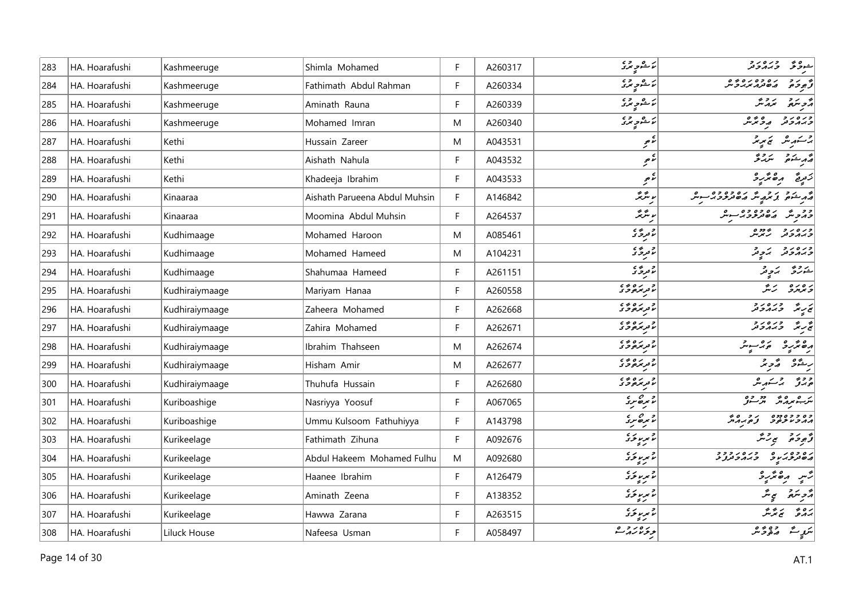| 283 | HA. Hoarafushi | Kashmeeruge    | Shimla Mohamed                | F         | A260317 | مذهبة برد                             | و رە ر د<br>تر پروتر<br>  شوره محمد<br>  __                       |
|-----|----------------|----------------|-------------------------------|-----------|---------|---------------------------------------|-------------------------------------------------------------------|
| 284 | HA. Hoarafushi | Kashmeeruge    | Fathimath Abdul Rahman        | F         | A260334 | ئۈشقە چەترى                           | ر ه د ه د ه د ه<br>پره تربر تر تر تر<br>و مرد<br>ترجو حر          |
| 285 | HA. Hoarafushi | Kashmeeruge    | Aminath Rauna                 | F         | A260339 | ئەيشمو پىرى                           | أأترسكم المراتم                                                   |
| 286 | HA. Hoarafushi | Kashmeeruge    | Mohamed Imran                 | M         | A260340 | ئەشھەر جرى                            | و ر ه ر و<br><i>و بر</i> ډرو تر<br>ەر ئە ئەر                      |
| 287 | HA. Hoarafushi | Kethi          | Hussain Zareer                | M         | A043531 | اءُ مو                                | يزخير شي تمييش                                                    |
| 288 | HA. Hoarafushi | Kethi          | Aishath Nahula                | F         | A043532 | اءِ<br>اعو                            | أمر منسكرة المستركز                                               |
| 289 | HA. Hoarafushi | Kethi          | Khadeeja Ibrahim              | F         | A043533 | ء<br>مومجر                            | كتبيعًا رەمزىر 3                                                  |
| 290 | HA. Hoarafushi | Kinaaraa       | Aishath Parueena Abdul Muhsin | F         | A146842 | ببرشر                                 | و در در در در مدین در ۲۵۶۵۶ در در مدین                            |
| 291 | HA. Hoarafushi | Kinaaraa       | Moomina Abdul Muhsin          | F         | A264537 | ىرىترىتر                              | ככ של הסכסכם הם<br>כתקיית השיתיקפיג היית                          |
| 292 | HA. Hoarafushi | Kudhimaage     | Mohamed Haroon                | M         | A085461 | د په په<br>موبرگر                     | ورەر د ھەدە<br><i>פە</i> مەدىر ئىمەس                              |
| 293 | HA. Hoarafushi | Kudhimaage     | Mohamed Hameed                | M         | A104231 | د وره و<br>ما تورد د                  | ورەرو بەير                                                        |
| 294 | HA. Hoarafushi | Kudhimaage     | Shahumaa Hameed               | F         | A261151 | توریح ی                               | ے زیج<br>برَجه قر                                                 |
| 295 | HA. Hoarafushi | Kudhiraiymaage | Mariyam Hanaa                 | F         | A260558 | د رره و ،<br>مورکوبر                  | ىرتىر<br>ر ه بر ه<br><del>د</del> بربر د                          |
| 296 | HA. Hoarafushi | Kudhiraiymaage | Zaheera Mohamed               | F         | A262668 | و دره و ،<br>مورتره و د               | و ره ر و<br><i>و بر</i> پر تر<br> ئىم پەتتىر                      |
| 297 | HA. Hoarafushi | Kudhiraiymaage | Zahira Mohamed                | F         | A262671 | د مريره و <sup>ي</sup>                | لمج ريد وره د د                                                   |
| 298 | HA. Hoarafushi | Kudhiraiymaage | Ibrahim Thahseen              | M         | A262674 | د به بره و ،<br>ما توبتره و د         | رە ئۆر ئەربىر                                                     |
| 299 | HA. Hoarafushi | Kudhiraiymaage | Hisham Amir                   | ${\sf M}$ | A262677 | د پره وي<br>موږيزه وي                 | رىشۇ ھەرىم                                                        |
| 300 | HA. Hoarafushi | Kudhiraiymaage | Thuhufa Hussain               | F         | A262680 |                                       | ەرەپە ئەسكەپىر                                                    |
| 301 | HA. Hoarafushi | Kuriboashige   | Nasriyya Yoosuf               | F         | A067065 | د مره مرد<br>ما مره مرد               | ת פית היה ידי כם<br>תה תהיה ה                                     |
| 302 | HA. Hoarafushi | Kuriboashige   | Ummu Kulsoom Fathuhiyya       | F         | A143798 | د حرح مر <sub>ئ</sub> م               | 0 9 9 0 9 0 9<br>NNC 4 <del>0</del> 9 0 9<br>ى ئەھمىيە بەرگە<br>ئ |
| 303 | HA. Hoarafushi | Kurikeelage    | Fathimath Zihuna              | F         | A092676 | د بر بر بر ،<br>سربر بر د             | ژودو پرتر                                                         |
| 304 | HA. Hoarafushi | Kurikeelage    | Abdul Hakeem Mohamed Fulhu    | ${\sf M}$ | A092680 | د<br>با مربو بو د                     | ره وه ره در ورو و و<br>په هر ورک در بر و ترو تر                   |
| 305 | HA. Hoarafushi | Kurikeelage    | Haanee Ibrahim                | F         | A126479 | 2 مورو ئوي<br>مسير مور                | ر<br>سر مەمگرى                                                    |
| 306 | HA. Hoarafushi | Kurikeelage    | Aminath Zeena                 | F         | A138352 | 2 مورو تر <sup>ج</sup><br>مسر تر تر ک | أأدجن تمسمح                                                       |
| 307 | HA. Hoarafushi | Kurikeelage    | Hawwa Zarana                  | F         | A263515 | ئەبىر بويى<br>                        | $rac{20}{200}$<br>ىر ئەيگە<br>ئى                                  |
| 308 | HA. Hoarafushi | Liluck House   | Nafeesa Usman                 | F         | A058497 | وۇرەر ئە                              | سَمِي شَمْ مَهْ دَمَنْ رَ                                         |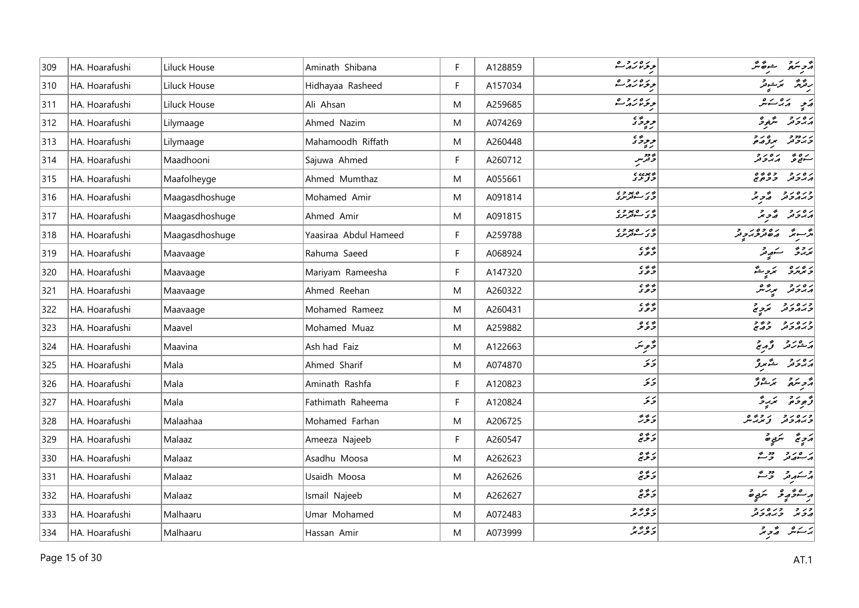| 309 | HA. Hoarafushi | Liluck House   | Aminath Shibana       | F         | A128859 | د ده رد ه                       | شەھ ئىر<br>ب<br>أرمز مترة                                    |
|-----|----------------|----------------|-----------------------|-----------|---------|---------------------------------|--------------------------------------------------------------|
| 310 | HA. Hoarafushi | Liluck House   | Hidhayaa Rasheed      | F         | A157034 | ىر ئەرىر ئە                     |                                                              |
| 311 | HA. Hoarafushi | Liluck House   | Ali Ahsan             | M         | A259685 | د د کار د ه                     |                                                              |
| 312 | HA. Hoarafushi | Lilymaage      | Ahmed Nazim           | M         | A074269 | ووڈ ء<br>ر                      | بر ه بر ج<br>م <i>. بر</i> 5 مر<br>متزەچر                    |
| 313 | HA. Hoarafushi | Lilymaage      | Mahamoodh Riffath     | M         | A260448 | ووڈء                            | برو د د<br>برو د ه<br>ر ر دو و<br>تر <i>پر</i> و تعر         |
| 314 | HA. Hoarafushi | Maadhooni      | Sajuwa Ahmed          | F         | A260712 | وَقَرْسِ                        | ەر دەر<br>ر ره ۶                                             |
| 315 | HA. Hoarafushi | Maafolheyge    | Ahmed Mumthaz         | ${\sf M}$ | A055661 | ه پون تا<br>ترکو تو ت           | נסנכ כסשם<br>הגבת ככתב                                       |
| 316 | HA. Hoarafushi | Maagasdhoshuge | Mohamed Amir          | M         | A091814 | به رحمه و د و<br>و ی سسوتوری    | پر د بر<br>مرد بر<br>و رە ر د<br><i>د بە</i> پەر             |
| 317 | HA. Hoarafushi | Maagasdhoshuge | Ahmed Amir            | ${\sf M}$ | A091815 | به رحمه و د و د<br>ترک سستمرمری | دەر د ئەرب                                                   |
| 318 | HA. Hoarafushi | Maagasdhoshuge | Yaasiraa Abdul Hameed | F         | A259788 | ر در ه پرو د<br>و د سهتر در     | ر ه و و د په د<br>پره ترڅ پر په تر<br> پژسېږ                 |
| 319 | HA. Hoarafushi | Maavaage       | Rahuma Saeed          | F         | A068924 | په ده<br>تر بو ی                | أنروه ستهيتر                                                 |
| 320 | HA. Hoarafushi | Maavaage       | Mariyam Rameesha      | F         | A147320 | پر دی.<br>ترگوک                 | ر ه ر ه<br><del>و</del> بربرو                                |
| 321 | HA. Hoarafushi | Maavaage       | Ahmed Reehan          | ${\sf M}$ | A260322 | و و ء<br>و ه د                  | أرەر ئەرمىر                                                  |
| 322 | HA. Hoarafushi | Maavaage       | Mohamed Rameez        | M         | A260431 | و و ء<br>و ه د                  | <i>د ر</i> ه ر د<br>  <del>د</del> بر پر تر<br>برَدِجْ       |
| 323 | HA. Hoarafushi | Maavel         | Mohamed Muaz          | M         | A259882 | پر ہ<br>تر بر تر                | و د م<br>تر در م<br>و ره ر و<br>تر پر ژ تر                   |
| 324 | HA. Hoarafushi | Maavina        | Ash had Faiz          | M         | A122663 | څوبتر                           | تۇ مەتج<br>ىر شەرىخە<br>مەشقە <i>ر</i> قىر                   |
| 325 | HA. Hoarafushi | Mala           | Ahmed Sharif          | M         | A074870 | رىز                             | رەرد شەر                                                     |
| 326 | HA. Hoarafushi | Mala           | Aminath Rashfa        | F         | A120823 | ۇت                              | ىرشىۋ<br>ړ څر سرچ                                            |
| 327 | HA. Hoarafushi | Mala           | Fathimath Raheema     | F         | A120824 | ترىخە                           | وٌ جو حَرْ حْر<br>بزرد                                       |
| 328 | HA. Hoarafushi | Malaahaa       | Mohamed Farhan        | M         | A206725 | ریوژ                            | ىر جەمبەر<br>ئ <i>ى ئىرىڭ</i> بىر<br>و ر ه ر د<br>تر پر ژ تر |
| 329 | HA. Hoarafushi | Malaaz         | Ameeza Najeeb         | F         | A260547 | ترمج ہ                          | أركاح أأتمام وأحمد وأحراجها                                  |
| 330 | HA. Hoarafushi | Malaaz         | Asadhu Moosa          | ${\sf M}$ | A262623 | ترڅې                            | ى ھەرد جۇڭ                                                   |
| 331 | HA. Hoarafushi | Malaaz         | Usaidh Moosa          | ${\sf M}$ | A262626 | ىر ئۇيج                         | ە ئەسەر قەر تەن ئە                                           |
| 332 | HA. Hoarafushi | Malaaz         | Ismail Najeeb         | ${\sf M}$ | A262627 | ىر ئۇيج                         | بر شۇ پۇ سىپى ق                                              |
| 333 | HA. Hoarafushi | Malhaaru       | Umar Mohamed          | M         | A072483 | ى ۋرىتر                         | 7.77<br>و ر ه ر و<br>تر پر ژ تر                              |
| 334 | HA. Hoarafushi | Malhaaru       | Hassan Amir           | ${\sf M}$ | A073999 | ر ه و و<br>5 گرمگر              | يركسكس مجارحه                                                |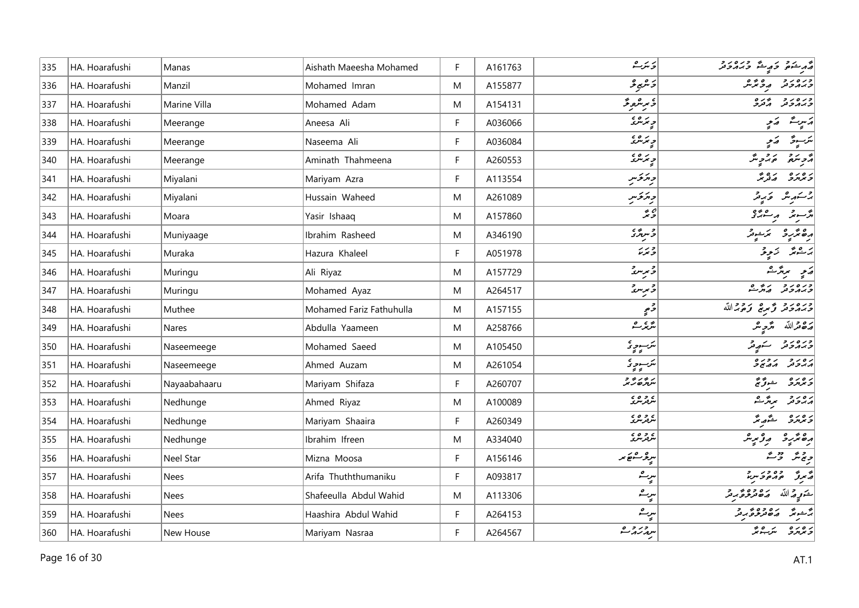| 335 | HA. Hoarafushi | Manas            | Aishath Maeesha Mohamed  | F         | A161763 | ىر ئىر م                                   | أثمر شوه وريد وره دو                          |
|-----|----------------|------------------|--------------------------|-----------|---------|--------------------------------------------|-----------------------------------------------|
| 336 | HA. Hoarafushi | Manzil           | Mohamed Imran            | M         | A155877 | ئەشرىر پۇ                                  | כנים נכנים בים.<br>כממכנים הכיציים            |
| 337 | HA. Hoarafushi | Marine Villa     | Mohamed Adam             | ${\sf M}$ | A154131 | ء <i>َ <sub>مر</sub> مر<sub>عر</sub>وً</i> | כנסנכ שנם<br>כ <i>ה</i> תכנ <sub>י</sub> תנקב |
| 338 | HA. Hoarafushi | Meerange         | Aneesa Ali               | F         | A036066 | حە ئىر ھەمج                                | ئەسرىسى<br> <br>ەتىر                          |
| 339 | HA. Hoarafushi | Meerange         | Naseema Ali              | F         | A036084 | حە ئىر ھەم                                 | للرسوش الأبو                                  |
| 340 | HA. Hoarafushi | Meerange         | Aminath Thahmeena        | F         | A260553 | حە ئىر ھەم                                 | أأرمنهم وبرديد                                |
| 341 | HA. Hoarafushi | Miyalani         | Mariyam Azra             | F         | A113554 | ويز توسر                                   | و مره ده پر                                   |
| 342 | HA. Hoarafushi | Miyalani         | Hussain Waheed           | M         | A261089 | ادِ پرَ دَ سِرِ                            | چە سەر سىر ئەر قى <sub>س</sub> ىر             |
| 343 | HA. Hoarafushi | Moara            | Yasir Ishaaq             | ${\sf M}$ | A157860 | چچ                                         | أثر المحرم والمحققة                           |
| 344 | HA. Hoarafushi | Muniyaage        | Ibrahim Rasheed          | M         | A346190 | و سرگری<br>حر سرگری                        | رەڭرە كەشىھ                                   |
| 345 | HA. Hoarafushi | Muraka           | Hazura Khaleel           | F         | A051978 | ويرز                                       | ) ئەشقا ئىچە                                  |
| 346 | HA. Hoarafushi | Muringu          | Ali Riyaz                | ${\sf M}$ | A157729 | ومرسر                                      | ړې بروگ                                       |
| 347 | HA. Hoarafushi | Muringu          | Mohamed Ayaz             | ${\sf M}$ | A264517 | 3 برسر ح                                   |                                               |
| 348 | HA. Hoarafushi | Muthee           | Mohamed Fariz Fathuhulla | ${\sf M}$ | A157155 | ترمج                                       | وبروبرد وتمريح وتحرجه الله                    |
| 349 | HA. Hoarafushi | Nares            | Abdulla Yaameen          | ${\sf M}$ | A258766 | پڑ پڑ ہے                                   | أصفح قدالله مزتجو مثر                         |
| 350 | HA. Hoarafushi | Naseemeege       | Mohamed Saeed            | ${\sf M}$ | A105450 | ىئەسىرى<br>ئ                               | ورەرو سەرو                                    |
| 351 | HA. Hoarafushi | Naseemeege       | Ahmed Auzam              | ${\sf M}$ | A261054 | ىئرسوچە ئە<br>ئەسىم                        | גפני גבנים                                    |
| 352 | HA. Hoarafushi | Nayaabahaaru     | Mariyam Shifaza          | F         | A260707 | ر و ر و د<br>سرگرفت گر                     | وجرمرو بمسورٌ حج                              |
| 353 | HA. Hoarafushi | Nedhunge         | Ahmed Riyaz              | M         | A100089 | ے و ه ۽<br>سرپرسر                          | رەرد پرگرے                                    |
| 354 | HA. Hoarafushi | Nedhunge         | Mariyam Shaaira          | F         | A260349 | ء ۾ ه ۽<br>سرپرسر <sub>ک</sub>             | رەرە شەرىر                                    |
| 355 | HA. Hoarafushi | Nedhunge         | Ibrahim Ifreen           | ${\sf M}$ | A334040 | ے و ہ ۽<br>سربرسر <sub>ک</sub>             | رەنزىر روپر                                   |
| 356 | HA. Hoarafushi | <b>Neel Star</b> | Mizna Moosa              | F         | A156146 | لىروقىيمىر                                 | دبر بیر می                                    |
| 357 | HA. Hoarafushi | Nees             | Arifa Thuththumaniku     | F         | A093817 | سريہ                                       | י בס כי הייתור<br>הייגר יכולים הייתו          |
| 358 | HA. Hoarafushi | <b>Nees</b>      | Shafeeulla Abdul Wahid   | ${\sf M}$ | A113306 | سريہ                                       | شَوَرٍ هُ اللّه = مِن صَعْرَ حَرَّ مِرْ مَرْ  |
| 359 | HA. Hoarafushi | Nees             | Haashira Abdul Wahid     | F         | A264153 | سريہ                                       | ر ه و ه و .<br>پره تروڅ بر تر<br>بۇ ھوبۇ      |
| 360 | HA. Hoarafushi | New House        | Mariyam Nasraa           | F         | A264567 | سدىردە                                     | رەرە برەپ                                     |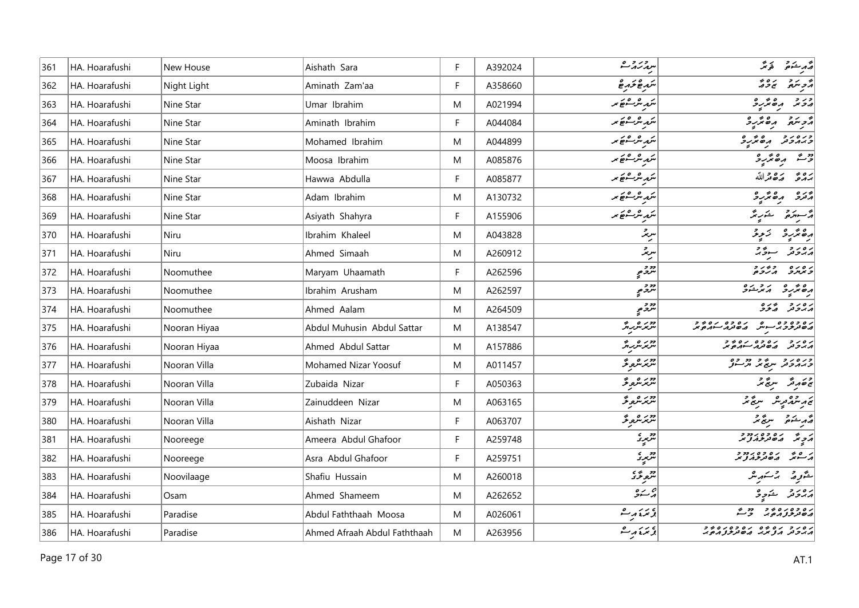|     |                |              |                              |           |         | سرز برژی                                 | ئەنگە<br>قومگر                                              |
|-----|----------------|--------------|------------------------------|-----------|---------|------------------------------------------|-------------------------------------------------------------|
| 361 | HA. Hoarafushi | New House    | Aishath Sara                 | F         | A392024 |                                          | ا پر آمر شوځو<br>ا                                          |
| 362 | HA. Hoarafushi | Night Light  | Aminath Zam'aa               | F         | A358660 | يترجع تخبرهج                             | أرمز شرد<br>بر ه پر<br>پح <del>ر</del> پر                   |
| 363 | HA. Hoarafushi | Nine Star    | Umar Ibrahim                 | M         | A021994 | ىئرىر ىىگرىشكى بىر                       | ور و<br>در تر<br>ەھ ترىرى                                   |
| 364 | HA. Hoarafushi | Nine Star    | Aminath Ibrahim              | F         | A044084 | ىئەر بى <sup>رى</sup> شقى بىر            | ەھ ترىر ۋ<br>ړ ځې شرچ                                       |
| 365 | HA. Hoarafushi | Nine Star    | Mohamed Ibrahim              | ${\sf M}$ | A044899 | سَمبر مثر <sup>م</sup> شقع سر            | ەرھەترىر <sup>9</sup><br>و ر ه ر د<br>د بر پر تر            |
| 366 | HA. Hoarafushi | Nine Star    | Moosa Ibrahim                | M         | A085876 | سَمبر م <sup>ی</sup> ر مشخصے سر          | ەر ھەتىرىرى<br>دی مشتر                                      |
| 367 | HA. Hoarafushi | Nine Star    | Hawwa Abdulla                | F         | A085877 | ا <sub>سکیر</sub> مثر <u>موت</u><br>مسلم | ر ہ ء<br>براد بح<br>مەھىراللە                               |
| 368 | HA. Hoarafushi | Nine Star    | Adam Ibrahim                 | M         | A130732 | لترمر شرعي                               | رە ئۈرۈ<br>پەرە<br>مەنىرى                                   |
| 369 | HA. Hoarafushi | Nine Star    | Asiyath Shahyra              | F         | A155906 | ىئىدىش <sup>ى</sup> ھۆسىم                | و مسود کرد.<br>م<br>ىشكە بەتتىر                             |
| 370 | HA. Hoarafushi | Niru         | Ibrahim Khaleel              | ${\sf M}$ | A043828 | سریڅه                                    | ە ھەترىر <sup>ە</sup><br>تزموقر                             |
| 371 | HA. Hoarafushi | Niru         | Ahmed Simaah                 | M         | A260912 | سرچر                                     | بر و بر د<br>مربر <del>و</del> تر<br>سەۋر                   |
| 372 | HA. Hoarafushi | Noomuthee    | Maryam Uhaamath              | F         | A262596 | دد د<br>سرچ م <sub>ح</sub>               | ەر ئەر ج<br>ر ه ر ه<br><del>ر</del> بربرگ                   |
| 373 | HA. Hoarafushi | Noomuthee    | Ibrahim Arusham              | ${\sf M}$ | A262597 | يزدمج                                    | ەرھەترىرى<br>ر<br>ىر ترىنەۋ                                 |
| 374 | HA. Hoarafushi | Noomuthee    | Ahmed Aalam                  | M         | A264509 | يزدمج                                    | رەر دىرە                                                    |
| 375 | HA. Hoarafushi | Nooran Hiyaa | Abdul Muhusin Abdul Sattar   | M         | A138547 | ددر ه<br>سربر سربر                       | גם כם כם גם, גם כם גם ביבור<br>הסינקיפיג היית הסינג היותם ב |
| 376 | HA. Hoarafushi | Nooran Hiyaa | Ahmed Abdul Sattar           | ${\sf M}$ | A157886 | يتر بحر يرتز                             | נים נים נים נים מים ביים.<br>הגבת הסתה <del>יי</del> תומים  |
| 377 | HA. Hoarafushi | Nooran Villa | Mohamed Nizar Yoosuf         | ${\sf M}$ | A011457 | ترىر م <sub>ى</sub> موقە                 | כמהכנה יישיב מבק                                            |
| 378 | HA. Hoarafushi | Nooran Villa | Zubaida Nizar                | F         | A050363 | يتربر عروقر                              | تم قرم من المرتج من                                         |
| 379 | HA. Hoarafushi | Nooran Villa | Zainuddeen Nizar             | M         | A063165 | يز پر عرو گر                             | ىم ئىقمۇم بىر ئىس                                           |
| 380 | HA. Hoarafushi | Nooran Villa | Aishath Nizar                | F         | A063707 | يتر پر سره ځه                            | وكرو منكور المراكب والمحاجر                                 |
| 381 | HA. Hoarafushi | Nooreege     | Ameera Abdul Ghafoor         | F         | A259748 | دد<br>مترسری                             | د پر دەرەردود                                               |
| 382 | HA. Hoarafushi | Nooreege     | Asra Abdul Ghafoor           | F         | A259751 | دد<br>مترسمي <sup>ى</sup>                | د و د ده دود د                                              |
| 383 | HA. Hoarafushi | Noovilaage   | Shafiu Hussain               | ${\sf M}$ | A260018 | دد<br>متر <sub>حو</sub> غر               | شۇرۇ بىرسىر                                                 |
| 384 | HA. Hoarafushi | Osam         | Ahmed Shameem                | ${\sf M}$ | A262652 | ہ یہ ہ<br>مرسستر                         |                                                             |
| 385 | HA. Hoarafushi | Paradise     | Abdul Faththaah Moosa        | ${\sf M}$ | A026061 | إزىئه مربشه                              | ر ٥ ر ٥ ر ٥ ر و<br>۹. @ تر <del>ت</del> ر تر ۹.             |
| 386 | HA. Hoarafushi | Paradise     | Ahmed Afraah Abdul Faththaah | M         | A263956 | ئۇبتىر ئەمرىشە                           | נסנד נסים נסדסנסיד<br>הגבת הציגו הסתיצוה                    |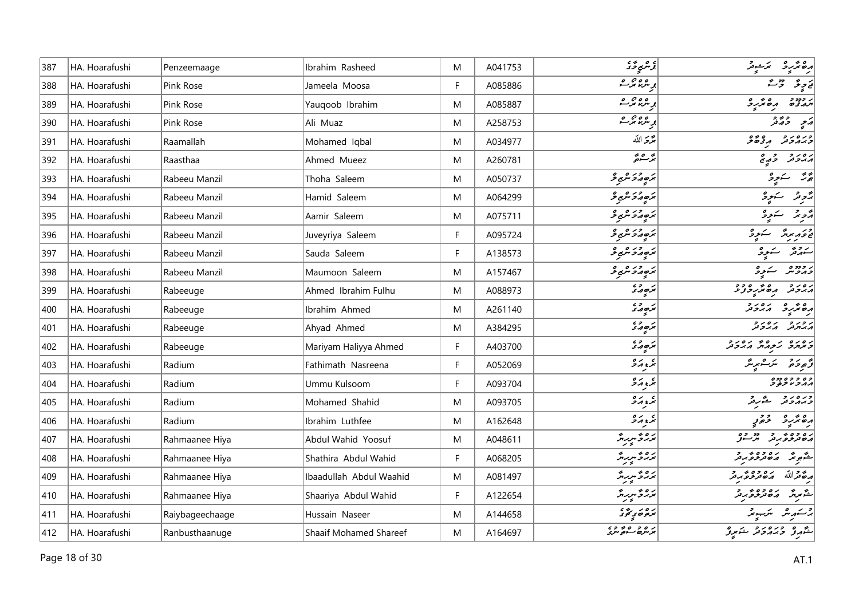| 387 | HA. Hoarafushi | Penzeemaage      | Ibrahim Rasheed         | M         | A041753 | ئۇشپۈ ئەتم                       | ىكەپ يەتىر<br>ئ<br>ەھ ئ <sup>ۆ</sup> ر ۋ              |
|-----|----------------|------------------|-------------------------|-----------|---------|----------------------------------|-------------------------------------------------------|
| 388 | HA. Hoarafushi | <b>Pink Rose</b> | Jameela Moosa           | F         | A085886 | بو م <sup>وړ م</sup> ور ه        | تع تحريحر<br>درمیه                                    |
| 389 | HA. Hoarafushi | Pink Rose        | Yauqoob Ibrahim         | ${\sf M}$ | A085887 | ارپرچين                          | ן כדב ב<br>חקרה בים<br>دە ئەرى                        |
| 390 | HA. Hoarafushi | Pink Rose        | Ali Muaz                | M         | A258753 | ارپرچين                          | أتدمج وحدقر                                           |
| 391 | HA. Hoarafushi | Raamallah        | Mohamed Iqbal           | M         | A034977 | مُحْرَحَ اللّه                   | و ر ه ر و<br>تر پر ژ تر<br>د و څو                     |
| 392 | HA. Hoarafushi | Raasthaa         | Ahmed Mueez             | M         | A260781 | پر مەي<br>ئىرىسى <i>م</i> ۇ      | بروئر تر<br>ترجيح                                     |
| 393 | HA. Hoarafushi | Rabeeu Manzil    | Thoha Saleem            | ${\sf M}$ | A050737 | <i>برَھەد د</i> ېمبر بۇ          | ۾ ئي سنڌ ج                                            |
| 394 | HA. Hoarafushi | Rabeeu Manzil    | Hamid Saleem            | ${\sf M}$ | A064299 | ىر <i>ھەد دى</i> گىرى ئى         | پ <sup>و</sup> و تر<br>مرکز<br>سكوو                   |
| 395 | HA. Hoarafushi | Rabeeu Manzil    | Aamir Saleem            | M         | A075711 | ئەھەر <i>جەشى</i> ر بىر          | ومحرمه الشروع                                         |
| 396 | HA. Hoarafushi | Rabeeu Manzil    | Juveyriya Saleem        | F         | A095724 | ئەھەر ئەشرىي ۋ                   | و که مربردگر<br>م<br>سەرد                             |
| 397 | HA. Hoarafushi | Rabeeu Manzil    | Sauda Saleem            | F         | A138573 | ىر <i>ھەد دى</i> گىرى ئى         | سەدىر<br>سەموۋ                                        |
| 398 | HA. Hoarafushi | Rabeeu Manzil    | Maumoon Saleem          | M         | A157467 | بَدَهِ وَجَهْ شَهْ عَرْ          | ر دود ه<br>د در س<br>سەرچ                             |
| 399 | HA. Hoarafushi | Rabeeuge         | Ahmed Ibrahim Fulhu     | M         | A088973 | ترەمدى                           | رور ده پروور                                          |
| 400 | HA. Hoarafushi | Rabeeuge         | Ibrahim Ahmed           | ${\sf M}$ | A261140 | پر چوه د                         | وه پر ده دره                                          |
| 401 | HA. Hoarafushi | Rabeeuge         | Ahyad Ahmed             | M         | A384295 | پر چوړۍ<br>نو                    | ג כניכן המיכיל<br>המיתים המיכים                       |
| 402 | HA. Hoarafushi | Rabeeuge         | Mariyam Haliyya Ahmed   | F         | A403700 | ترەم                             | י פינוב התחיים הפיביק<br>בינו <i>נב התחיי</i> ל ההכנק |
| 403 | HA. Hoarafushi | Radium           | Fathimath Nasreena      | F         | A052069 | برءبره                           | قرم دو سرگ مرینگر                                     |
| 404 | HA. Hoarafushi | Radium           | Ummu Kulsoom            | F         | A093704 | برءبره                           | c c c c c c c<br><i>R R S L S L</i>                   |
| 405 | HA. Hoarafushi | Radium           | Mohamed Shahid          | ${\sf M}$ | A093705 | بزءبره                           | و ره ر د<br><i>د بر</i> د تر<br>ستەرىر                |
| 406 | HA. Hoarafushi | Radium           | Ibrahim Luthfee         | M         | A162648 | برءبره                           | ەرھەترىر <sup>ى</sup><br>ترجري                        |
| 407 | HA. Hoarafushi | Rahmaanee Hiya   | Abdul Wahid Yoosuf      | M         | A048611 | ىر 2 ئەرىر بىر<br>ئىسىمىسى       | גם כם בי הכי כם<br>המשתפת הבי תי-י                    |
| 408 | HA. Hoarafushi | Rahmaanee Hiya   | Shathira Abdul Wahid    | F         | A068205 | ىر 2 گەسىر بەرگە<br>ئەرگە ئەر    | شگهوند ماه ده در د                                    |
| 409 | HA. Hoarafushi | Rahmaanee Hiya   | Ibaadullah Abdul Waahid | ${\sf M}$ | A081497 | ىر 2 گەرىر مەر<br>مەركە          | و ځې الله ده ده د برو                                 |
| 410 | HA. Hoarafushi | Rahmaanee Hiya   | Shaariya Abdul Wahid    | F         | A122654 | ىر 2 گەرىر بىر<br>مەنبەر كەرىر   | شمرش مەمرومىر                                         |
| 411 | HA. Hoarafushi | Raiybageechaage  | Hussain Naseer          | M         | A144658 | بره ده پرځۍ                      | رحم مسكورها الكرسور                                   |
| 412 | HA. Hoarafushi | Ranbusthaanuge   | Shaaif Mohamed Shareef  | ${\sf M}$ | A164697 | ر و و و ه و و ،<br>برسره سوه سرد | أشهرو ورورو خيرو                                      |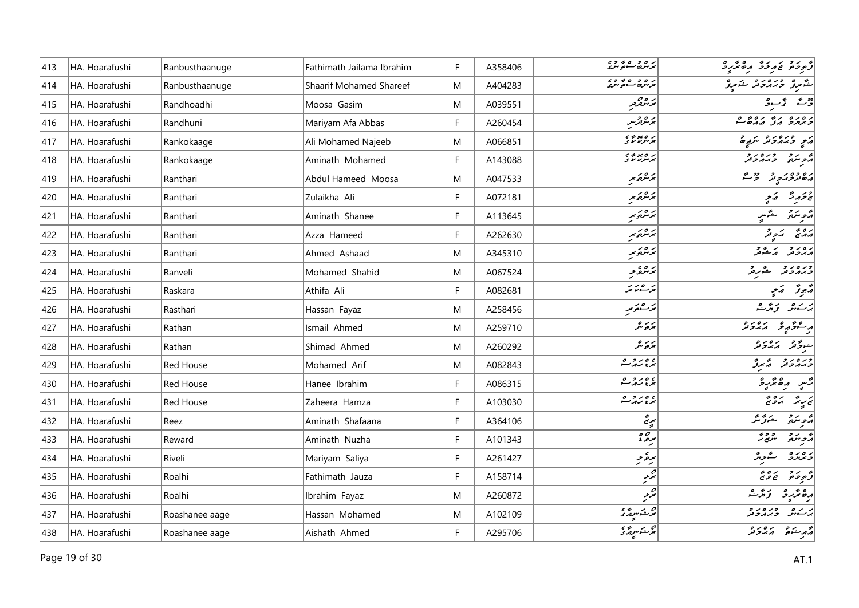| 413 | HA. Hoarafushi | Ranbusthaanuge   | Fathimath Jailama Ibrahim      | F  | A358406 | ر ۵ و ۵ و ۵ و ۷<br>برسره سوه سرو           | وجودة ورذة معتردة                                                                                                                                                                                                                   |
|-----|----------------|------------------|--------------------------------|----|---------|--------------------------------------------|-------------------------------------------------------------------------------------------------------------------------------------------------------------------------------------------------------------------------------------|
| 414 | HA. Hoarafushi | Ranbusthaanuge   | <b>Shaarif Mohamed Shareef</b> | M  | A404283 | ر ه د ه ه و د و                            | أشمرو ورورو خمرو                                                                                                                                                                                                                    |
| 415 | HA. Hoarafushi | Randhoadhi       | Moosa Gasim                    | M  | A039551 | ىر ھەجرىر<br>مەسرىلرىيە                    | قرمسم محمد عمر قرار محمد المسترد                                                                                                                                                                                                    |
| 416 | HA. Hoarafushi | Randhuni         | Mariyam Afa Abbas              | F  | A260454 | بریروژسر                                   | 250/210/0.002                                                                                                                                                                                                                       |
| 417 | HA. Hoarafushi | Rankokaage       | Ali Mohamed Najeeb             | M  | A066851 | ر ٥ پر <i>٤ ٤</i><br>برس <i>لا ڏ</i>       | أرو وبرود و مربح ه                                                                                                                                                                                                                  |
| 418 | HA. Hoarafushi | Rankokaage       | Aminath Mohamed                | F  | A143088 | ر ۵ پر ۵ پر<br>بر سربر رک                  | أروسره وره دو                                                                                                                                                                                                                       |
| 419 | HA. Hoarafushi | Ranthari         | Abdul Hameed Moosa             | M  | A047533 | برەم                                       | ן פיפי פי יידור ביידור ביידור ביידור ביידור ביידור ביידור ביידור ביידור ביידור ביידור ביידור ביידור ביידור ביי<br>המודעות ביידור ביידור ביידור ביידור ביידור ביידור ביידור ביידור ביידור ביידור ביידור ביידור ביידור ביידור בייד    |
| 420 | HA. Hoarafushi | Ranthari         | Zulaikha Ali                   | F  | A072181 | برمريم                                     |                                                                                                                                                                                                                                     |
| 421 | HA. Hoarafushi | Ranthari         | Aminath Shanee                 | F  | A113645 | برەم                                       | ة محمد بين الماسي.<br>المحمد المسيح المسيح المسيح المسيح المسيح المسيح المسيح المسيح المسيح المسيح المسيح المسيح المسيح المسيح المس<br>المسيح المسيح المسيح المسيح المسيح المسيح المسيح المسيح المسيح المسيح المسيح المسيح المسيح ا |
| 422 | HA. Hoarafushi | Ranthari         | Azza Hameed                    | F  | A262630 | برەمرىر                                    | $5 - 201$                                                                                                                                                                                                                           |
| 423 | HA. Hoarafushi | Ranthari         | Ahmed Ashaad                   | M  | A345310 | برەر                                       | ره رو پر دور                                                                                                                                                                                                                        |
| 424 | HA. Hoarafushi | Ranveli          | Mohamed Shahid                 | M  | A067524 | ابرمره بحر                                 | ورەر دېمبر د                                                                                                                                                                                                                        |
| 425 | HA. Hoarafushi | Raskara          | Athifa Ali                     | F  | A082681 | ىر ھەرىر<br>مەسىم ئىر                      | ه چوڙ او پا                                                                                                                                                                                                                         |
| 426 | HA. Hoarafushi | Rasthari         | Hassan Fayaz                   | M  | A258456 | ئەر ھەكىمىيە                               | برسەش بۇرگەشە                                                                                                                                                                                                                       |
| 427 | HA. Hoarafushi | Rathan           | Ismail Ahmed                   | M  | A259710 | بر بر ه<br>مره مثر                         | بر عرصور برورد                                                                                                                                                                                                                      |
| 428 | HA. Hoarafushi | Rathan           | Shimad Ahmed                   | M  | A260292 | برىر ھ                                     | شود قر از کار در د                                                                                                                                                                                                                  |
| 429 | HA. Hoarafushi | <b>Red House</b> | Mohamed Arif                   | M  | A082843 | ، ەر دەپ                                   | ورەر د پرو                                                                                                                                                                                                                          |
| 430 | HA. Hoarafushi | <b>Red House</b> | Hanee Ibrahim                  | F  | A086315 | ، ەر دەپە                                  | ر<br>سر مەمگرى                                                                                                                                                                                                                      |
| 431 | HA. Hoarafushi | Red House        | Zaheera Hamza                  | F  | A103030 | ، ەر دە                                    | $rac{20}{6}$                                                                                                                                                                                                                        |
| 432 | HA. Hoarafushi | Reez             | Aminath Shafaana               | F  | A364106 | سمج                                        | أروبترة<br>شە <b>رَ</b> ئىر                                                                                                                                                                                                         |
| 433 | HA. Hoarafushi | Reward           | Aminath Nuzha                  | F  | A101343 | $rac{1}{2}$                                | سرچ ر<br>ړ څر سرچ                                                                                                                                                                                                                   |
| 434 | HA. Hoarafushi | Riveli           | Mariyam Saliya                 | F  | A261427 | برۂعر                                      | ر ه ر ه<br><del>و</del> بربرو<br>ستحوتر                                                                                                                                                                                             |
| 435 | HA. Hoarafushi | Roalhi           | Fathimath Jauza                | F. | A158714 | $\left  \frac{\delta x}{\delta x} \right $ | توجدة بره بم                                                                                                                                                                                                                        |
| 436 | HA. Hoarafushi | Roalhi           | Ibrahim Fayaz                  | M  | A260872 | $\sqrt{\frac{2}{x}}$                       | برھ ئر پر د<br>تر پژ ک                                                                                                                                                                                                              |
| 437 | HA. Hoarafushi | Roashanee aage   | Hassan Mohamed                 | M  | A102109 | ئۇيسىز مېرىگە ئى                           | بزسەيىتىر<br>و ره ر و<br>تر پر ژ تر                                                                                                                                                                                                 |
| 438 | HA. Hoarafushi | Roashanee aage   | Aishath Ahmed                  | F  | A295706 | ترىشەسردى                                  | مەر ئىستومى ئەركىتى                                                                                                                                                                                                                 |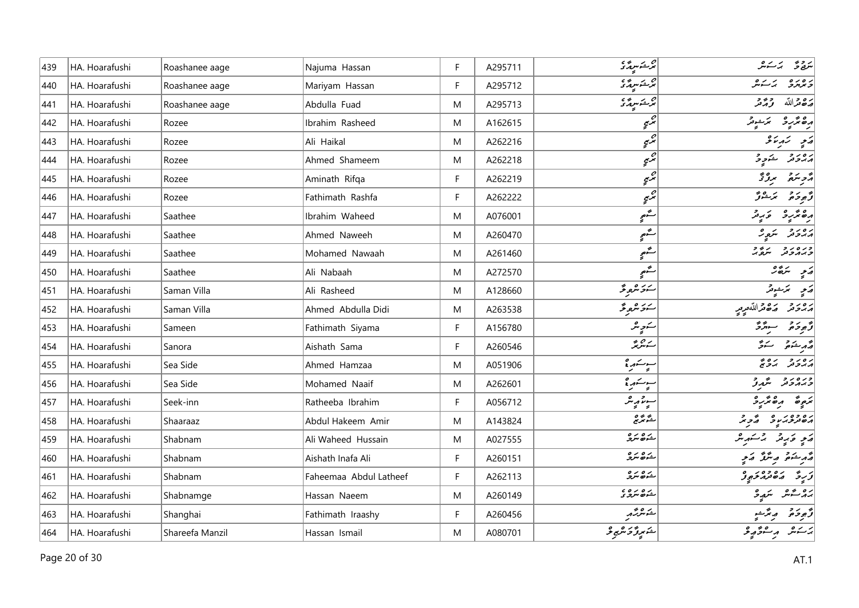| 439 | HA. Hoarafushi | Roashanee aage  | Najuma Hassan          | F         | A295711 | جر شهر سر مرکز<br>مرگ            | بزسەچر<br>ر و د<br>سرچ و                                            |
|-----|----------------|-----------------|------------------------|-----------|---------|----------------------------------|---------------------------------------------------------------------|
| 440 | HA. Hoarafushi | Roashanee aage  | Mariyam Hassan         | F         | A295712 | جر شه سر پر <sup>س</sup> ر<br>مر | ر ه ر ه<br><del>د</del> بربرد                                       |
| 441 | HA. Hoarafushi | Roashanee aage  | Abdulla Fuad           | M         | A295713 | ە<br>ئىرىشەسرى <i>دى</i>         | برە ترالله<br>و ه و<br>تو پر تر                                     |
| 442 | HA. Hoarafushi | Rozee           | Ibrahim Rasheed        | M         | A162615 | جرمج                             | رەنزىر ئىشىر                                                        |
| 443 | HA. Hoarafushi | Rozee           | Ali Haikal             | ${\sf M}$ | A262216 | احيي                             | ەيدى ئىدىكى                                                         |
| 444 | HA. Hoarafushi | Rozee           | Ahmed Shameem          | M         | A262218 | جرمج                             | ره د د شود د                                                        |
| 445 | HA. Hoarafushi | Rozee           | Aminath Rifqa          | F         | A262219 | كهميمج                           | أأروبتهم بروتى                                                      |
| 446 | HA. Hoarafushi | Rozee           | Fathimath Rashfa       | F         | A262222 | لقيمج                            | ۇي <sub>م</sub> وخۇ برىشۇ                                           |
| 447 | HA. Hoarafushi | Saathee         | Ibrahim Waheed         | ${\sf M}$ | A076001 | رهيج                             |                                                                     |
| 448 | HA. Hoarafushi | Saathee         | Ahmed Naweeh           | M         | A260470 | رمحمي                            | رەرد شھر 2                                                          |
| 449 | HA. Hoarafushi | Saathee         | Mohamed Nawaah         | M         | A261460 | اثقوهم                           | وره رو درود<br><i>وبرم</i> وتر سر <i>وب</i>                         |
| 450 | HA. Hoarafushi | Saathee         | Ali Nabaah             | M         | A272570 | التقهج                           | $\begin{bmatrix} 2 & 2 & 3 \\ 2 & 3 & 3 \\ 3 & 3 & 3 \end{bmatrix}$ |
| 451 | HA. Hoarafushi | Saman Villa     | Ali Rasheed            | M         | A128660 | سەد ئىرو ئ                       | ر<br>ماسي الماسي ماسيوند                                            |
| 452 | HA. Hoarafushi | Saman Villa     | Ahmed Abdulla Didi     | M         | A263538 | استوعروقر                        | ره رو ده واللّه ديد                                                 |
| 453 | HA. Hoarafushi | Sameen          | Fathimath Siyama       | F         | A156780 | سەرپىر                           |                                                                     |
| 454 | HA. Hoarafushi | Sanora          | Aishath Sama           | F         | A260546 | ر ۾ پر                           | ۇرمىشمۇ سىۋ                                                         |
| 455 | HA. Hoarafushi | Sea Side        | Ahmed Hamzaa           | M         | A051906 | سەسىدە<br>ئ                      | رەر رەپ                                                             |
| 456 | HA. Hoarafushi | Sea Side        | Mohamed Naaif          | M         | A262601 | سەسىد <sup>ە</sup>               | وره رو شهرو                                                         |
| 457 | HA. Hoarafushi | Seek-inn        | Ratheeba Ibrahim       | F         | A056712 | سەندە<br>ئە                      | بموقع وهتمرد                                                        |
| 458 | HA. Hoarafushi | Shaaraaz        | Abdul Hakeem Amir      | M         | A143824 | ر ديو ه<br>مشو <i>مر</i> بع      | גם כבי עם האת ה                                                     |
| 459 | HA. Hoarafushi | Shabnam         | Ali Waheed Hussain     | M         | A027555 | شەھ ئىرو                         | أرو أورد والمحمد المستمر من                                         |
| 460 | HA. Hoarafushi | Shabnam         | Aishath Inafa Ali      | F         | A260151 | شەھ ئىرو                         |                                                                     |
| 461 | HA. Hoarafushi | Shabnam         | Faheemaa Abdul Latheef | F         | A262113 | شەھ ئىرو                         | ز ده ده ده ده د و                                                   |
| 462 | HA. Hoarafushi | Shabnamge       | Hassan Naeem           | M         | A260149 | شەھ سرچ ئ                        | برە مەش ئىمەد                                                       |
| 463 | HA. Hoarafushi | Shanghai        | Fathimath Iraashy      | F         | A260456 | استورثر                          | وحوزه ويرت                                                          |
| 464 | HA. Hoarafushi | Shareefa Manzil | Hassan Ismail          | M         | A080701 | ىش <i>ە بېرۇ ئا</i> ھىي ئى       | برسكش مسترقية فر                                                    |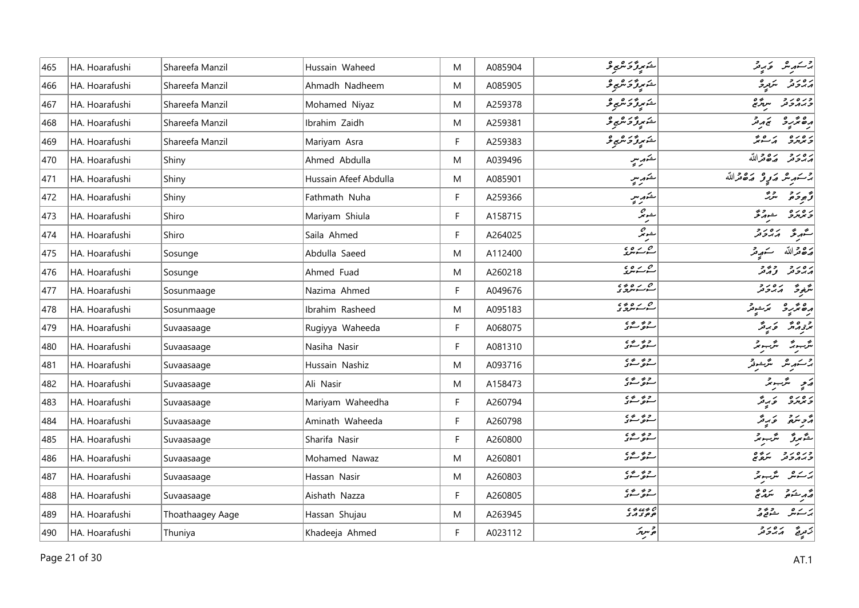| 465 | HA. Hoarafushi | Shareefa Manzil  | Hussain Waheed        | ${\sf M}$ | A085904 | شەبرۇ ئەشرىۋ                        | يز سكر مثل التحرير و التحرير الم   |
|-----|----------------|------------------|-----------------------|-----------|---------|-------------------------------------|------------------------------------|
| 466 | HA. Hoarafushi | Shareefa Manzil  | Ahmadh Nadheem        | ${\sf M}$ | A085905 | ىش <i>تىرۇ ئەنگى</i> رى             | أرور و سربره                       |
| 467 | HA. Hoarafushi | Shareefa Manzil  | Mohamed Niyaz         | ${\sf M}$ | A259378 | شەيرۇ ئەشرىر ۋ                      | و ره ر د<br>تربر رقر<br>سرگرمج     |
| 468 | HA. Hoarafushi | Shareefa Manzil  | Ibrahim Zaidh         | M         | A259381 | <br> شورۇ ئەندى <sub>م</sub> ۇ      | مەھترىر تمەم                       |
| 469 | HA. Hoarafushi | Shareefa Manzil  | Mariyam Asra          | F         | A259383 | خەمپرۇ <i>خى</i> رىمى بى            | رەرە رەپ                           |
| 470 | HA. Hoarafushi | Shiny            | Ahmed Abdulla         | M         | A039496 | احتمدسر                             | برورد بره قرالله                   |
| 471 | HA. Hoarafushi | Shiny            | Hussain Afeef Abdulla | M         | A085901 | اشتم <b>ە</b> سر<br> -              | جستمريند صَوِيرٌ صَصْغَراللّه      |
| 472 | HA. Hoarafushi | Shiny            | Fathmath Nuha         | F         | A259366 | ڪور سر<br>مسمون                     | قرموح مرتز                         |
| 473 | HA. Hoarafushi | Shiro            | Mariyam Shiula        | F         | A158715 | ه په چر                             | دەرە جەدگە                         |
| 474 | HA. Hoarafushi | Shiro            | Saila Ahmed           | F         | A264025 | ڪريمر                               | ستهرقت الابروند                    |
| 475 | HA. Hoarafushi | Sosunge          | Abdulla Saeed         | M         | A112400 | <u>م</u> مەسىرى                     | حدة قدالله سكورتر                  |
| 476 | HA. Hoarafushi | Sosunge          | Ahmed Fuad            | M         | A260218 | <u>مى ئەيتى ي</u>                   | رەر دەر                            |
| 477 | HA. Hoarafushi | Sosunmaage       | Nazima Ahmed          | F         | A049676 | <u>م بە پەرە</u>                    | شُعْرِدَّ 1975 م                   |
| 478 | HA. Hoarafushi | Sosunmaage       | Ibrahim Rasheed       | ${\sf M}$ | A095183 | <u>م ئەيۋې ئ</u>                    | أرەنزىر ئىشىز                      |
| 479 | HA. Hoarafushi | Suvaasaage       | Rugiyya Waheeda       | F         | A068075 | <u>حرم شوي</u>                      | بروم وبرقر                         |
| 480 | HA. Hoarafushi | Suvaasaage       | Nasiha Nasir          | F         | A081310 | <u>ر ژه په پ</u>                    | للرسور الكرسور                     |
| 481 | HA. Hoarafushi | Suvaasaage       | Hussain Nashiz        | M         | A093716 | __ <i>___________</i><br>سىق ئەسىرى | چرىسىمبە ھەر ئىشىر ئىرى<br>مەسىمبە |
| 482 | HA. Hoarafushi | Suvaasaage       | Ali Nasir             | M         | A158473 | <u>ر ژه په پ</u>                    | أوسمع المتمسور                     |
| 483 | HA. Hoarafushi | Suvaasaage       | Mariyam Waheedha      | F         | A260794 | شەۋىسە ئ                            | ر ه ر ه<br>تر بر بر<br>ءَ ٻرِ تَرُ |
| 484 | HA. Hoarafushi | Suvaasaage       | Aminath Waheeda       | F         | A260798 | <u>ر ژه په پ</u>                    | أأدحر والمتمرية                    |
| 485 | HA. Hoarafushi | Suvaasaage       | Sharifa Nasir         | F         | A260800 | <u>ر ژېڅ شوي</u>                    | شەبرۇ شەببەتە                      |
| 486 | HA. Hoarafushi | Suvaasaage       | Mohamed Nawaz         | ${\sf M}$ | A260801 | <u>ر ژېڅ شوي</u>                    | כנסנכ גםם                          |
| 487 | HA. Hoarafushi | Suvaasaage       | Hassan Nasir          | ${\sf M}$ | A260803 | <u>ر ژه په پ</u>                    | ىرىسە ئىش ئىلىدىن                  |
| 488 | HA. Hoarafushi | Suvaasaage       | Aishath Nazza         | F         | A260805 | <u>ر ژه په پ</u>                    | أورشكم سره و                       |
| 489 | HA. Hoarafushi | Thoathaagey Aage | Hassan Shujau         | M         | A263945 | په پری پو بر<br>  پوه پو پو پر      | پر کے مگر مقصورت                   |
| 490 | HA. Hoarafushi | Thuniya          | Khadeeja Ahmed        | F         | A023112 | قموسرتر                             | زَمْرِيحٌ دَبَرَ وَرَ              |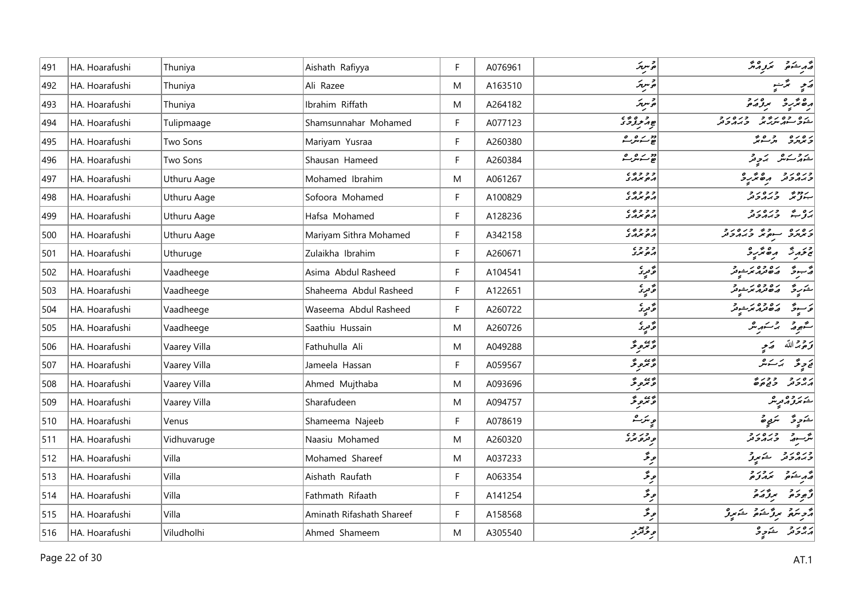| 491 | HA. Hoarafushi | Thuniya      | Aishath Rafiyya           | F         | A076961 | ەتبەر                        | הת בים תקרות                                                      |
|-----|----------------|--------------|---------------------------|-----------|---------|------------------------------|-------------------------------------------------------------------|
| 492 | HA. Hoarafushi | Thuniya      | Ali Razee                 | M         | A163510 | قحم سرمر                     | ړې برېنې<br>مړينې                                                 |
| 493 | HA. Hoarafushi | Thuniya      | Ibrahim Riffath           | M         | A264182 | لمحسر يركه                   | دە ئەبرو<br>بروده                                                 |
| 494 | HA. Hoarafushi | Tulipmaage   | Shamsunnahar Mohamed      | F         | A077123 | $rac{1}{555578}$             | ره وه رو و دره رو<br>شوو سهرس در و برابروتر                       |
| 495 | HA. Hoarafushi | Two Sons     | Mariyam Yusraa            | F         | A260380 | ا <sub>ق</sub> سەمىر مىشە    | رەرە دەپر                                                         |
| 496 | HA. Hoarafushi | Two Sons     | Shausan Hameed            | F         | A260384 | دد پر م <sub>ک</sub> ر شہ    | خىم ئىكى ئىچە قر                                                  |
| 497 | HA. Hoarafushi | Uthuru Aage  | Mohamed Ibrahim           | ${\sf M}$ | A061267 | د د د د ،<br>موموړ د         | כממכני מסיקיקי                                                    |
| 498 | HA. Hoarafushi | Uthuru Aage  | Sofoora Mohamed           | F         | A100829 | כככים<br>גם במגב             | קידו דיקודי<br>התציע במחכנת                                       |
| 499 | HA. Hoarafushi | Uthuru Aage  | Hafsa Mohamed             | F         | A128236 | כככים<br>נמידות ב            | و ره ر د<br>تر پر ژنر<br>برو پژ                                   |
| 500 | HA. Hoarafushi | Uthuru Aage  | Mariyam Sithra Mohamed    | F         | A342158 | כככים<br>נמידות ב            | נים נים מידי כנים ניבי<br>כמונכי הים מידי במארי                   |
| 501 | HA. Hoarafushi | Uthuruge     | Zulaikha Ibrahim          | F         | A260671 | د د د پ<br>پره مرد           | تم تحمير من المستقرر و                                            |
| 502 | HA. Hoarafushi | Vaadheege    | Asima Abdul Rasheed       | F         | A104541 | ءً مرِ ءُ<br> حَ مَرِ ء      | $rac{3}{2}$<br>رە دە ر<br>ھەقرەر <del>ب</del> رىش <sub>ى</sub> قر |
| 503 | HA. Hoarafushi | Vaadheege    | Shaheema Abdul Rasheed    | F         | A122651 | ءِ مريح<br> حوسي پر          | ر د ده ده در د .<br>شور د کاره د کار شودگر                        |
| 504 | HA. Hoarafushi | Vaadheege    | Waseema Abdul Rasheed     | F         | A260722 | ۇ<br>قرىمى                   |                                                                   |
| 505 | HA. Hoarafushi | Vaadheege    | Saathiu Hussain           | ${\sf M}$ | A260726 | ۇ<br>قرىمى                   | ستهورة بالتسكر مثلا                                               |
| 506 | HA. Hoarafushi | Vaarey Villa | Fathuhulla Ali            | ${\sf M}$ | A049288 | ە بىر<br>ھ <sup>ىر</sup> بور | تروح الله كه محي                                                  |
| 507 | HA. Hoarafushi | Vaarey Villa | Jameela Hassan            | F         | A059567 | ۇئىروقر                      | $\frac{1}{2}$                                                     |
| 508 | HA. Hoarafushi | Vaarey Villa | Ahmed Mujthaba            | M         | A093696 | ديم و څه                     | ده در دورد<br>  در دورد دورد                                      |
| 509 | HA. Hoarafushi | Vaarey Villa | Sharafudeen               | ${\sf M}$ | A094757 | و پر<br>و تر <sub>حو</sub> څ | <br> شەئىرتى مەس                                                  |
| 510 | HA. Hoarafushi | Venus        | Shameema Najeeb           | F         | A078619 | ء ٍ سَرَتْ                   | شَوِرَ سَيِي                                                      |
| 511 | HA. Hoarafushi | Vidhuvaruge  | Naasiu Mohamed            | M         | A260320 | <br>  مومرہ بر دی            | ر د دره د در د<br>سرسوړ و بر د و تر                               |
| 512 | HA. Hoarafushi | Villa        | Mohamed Shareef           | M         | A037233 | حريخر                        | وره دو شکړو                                                       |
| 513 | HA. Hoarafushi | Villa        | Aishath Raufath           | F         | A063354 | حريخه                        |                                                                   |
| 514 | HA. Hoarafushi | Villa        | Fathmath Rifaath          | F         | A141254 | حريح                         | و دو پروه و                                                       |
| 515 | HA. Hoarafushi | Villa        | Aminath Rifashath Shareef | F         | A158568 | حريحه                        | أأديني براز المكافح المكبران                                      |
| 516 | HA. Hoarafushi | Viludholhi   | Ahmed Shameem             | ${\sf M}$ | A305540 | وتزمز                        | رەرو ئىرو                                                         |
|     |                |              |                           |           |         |                              |                                                                   |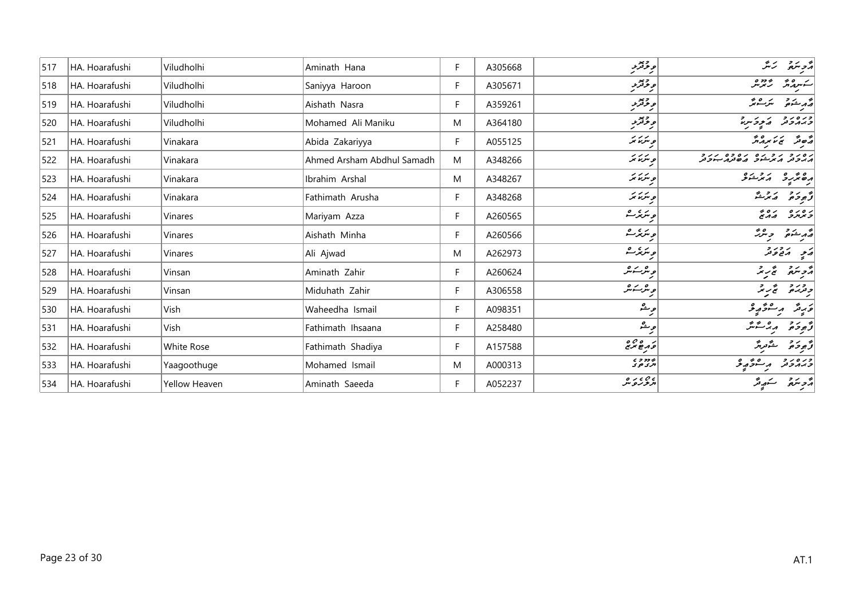| 517 | HA. Hoarafushi | Viludholhi        | Aminath Hana               | F  | A305668 | وتخرد                                                               | أترحر شرحر<br>ئەشر                                                                                                                                                                                                                                                  |
|-----|----------------|-------------------|----------------------------|----|---------|---------------------------------------------------------------------|---------------------------------------------------------------------------------------------------------------------------------------------------------------------------------------------------------------------------------------------------------------------|
| 518 | HA. Hoarafushi | Viludholhi        | Saniyya Haroon             | F. | A305671 | و قرتر د                                                            | سەمدىر<br>0, 22, 6                                                                                                                                                                                                                                                  |
| 519 | HA. Hoarafushi | Viludholhi        | Aishath Nasra              | F. | A359261 | وتخترمر                                                             | و مرکز در در در در این مرکز به این کار در این کار به این کار در این کار در این کار در این کار در این کار در ای<br>مرکز این کار در این کار در این کار در این کار در این کار در این کار در این کار در این کار در این کار در این کا<br>$\rightarrow$ 0 $\,$<br>سرستوسر |
| 520 | HA. Hoarafushi | Viludholhi        | Mohamed Ali Maniku         | M  | A364180 | و قرقر و                                                            | 7,0,12<br><i>و بر ۸ و</i> تر<br>وتبوحه سربذ                                                                                                                                                                                                                         |
| 521 | HA. Hoarafushi | Vinakara          | Abida Zakariyya            | F. | A055125 | ء مترئمة تتر                                                        | ה שני הז את ה                                                                                                                                                                                                                                                       |
| 522 | HA. Hoarafushi | Vinakara          | Ahmed Arsham Abdhul Samadh | M  | A348266 | ء مترىم تىر                                                         |                                                                                                                                                                                                                                                                     |
| 523 | HA. Hoarafushi | Vinakara          | Ibrahim Arshal             | M  | A348267 | ويترما تئر                                                          | رەپرىر مىر دو                                                                                                                                                                                                                                                       |
| 524 | HA. Hoarafushi | Vinakara          | Fathimath Arusha           | F  | A348268 | ويتزئد تئر                                                          | توجوحر المركز منظم                                                                                                                                                                                                                                                  |
| 525 | HA. Hoarafushi | Vinares           | Mariyam Azza               | F. | A260565 | ە ئىرىزىشە                                                          | پر ه پر ه<br>$\bullet$ 0 $\hspace{0.1cm}$<br>صاريخ                                                                                                                                                                                                                  |
| 526 | HA. Hoarafushi | Vinares           | Aishath Minha              | F. | A260566 | ریئر پڑے                                                            | أور مسكوم ويثرث                                                                                                                                                                                                                                                     |
| 527 | HA. Hoarafushi | Vinares           | Ali Ajwad                  | M  | A262973 | پەئىرىگە                                                            | أتكمح أترقى وترحم                                                                                                                                                                                                                                                   |
| 528 | HA. Hoarafushi | Vinsan            | Aminath Zahir              | F. | A260624 | پەشرىسىگە                                                           | ړ د سره<br>سمع سر بخر                                                                                                                                                                                                                                               |
| 529 | HA. Hoarafushi | Vinsan            | Miduhath Zahir             | F. | A306558 | ە بىر يە ئىر                                                        | د تربر د<br>سے سر ہیں                                                                                                                                                                                                                                               |
| 530 | HA. Hoarafushi | Vish              | Waheedha Ismail            | F. | A098351 | ح شو                                                                | كوبرنثر المسترقه فحر                                                                                                                                                                                                                                                |
| 531 | HA. Hoarafushi | Vish              | Fathimath Ihsaana          | F. | A258480 | ح شہ                                                                | ەر ئەشە<br>ا تو پر د                                                                                                                                                                                                                                                |
| 532 | HA. Hoarafushi | <b>White Rose</b> | Fathimath Shadiya          | F. | A157588 | $\begin{vmatrix} 0 & 0 & 0 \\ 0 & 0 & 0 \\ 0 & 0 & 0 \end{vmatrix}$ | سُتَوَتر پُرُ<br>ا تو پر د                                                                                                                                                                                                                                          |
| 533 | HA. Hoarafushi | Yaagoothuge       | Mohamed Ismail             | M  | A000313 | پر دو و بر<br>هر ی حو ی                                             | <i>و بر ۹ ز و</i><br>بر ستوتر بر قر                                                                                                                                                                                                                                 |
| 534 | HA. Hoarafushi | Yellow Heaven     | Aminath Saeeda             | F. | A052237 | ، <i>ہ ، ر</i> ہ<br>د نور تو س                                      | لأحرشهم<br>سسوچر تعر                                                                                                                                                                                                                                                |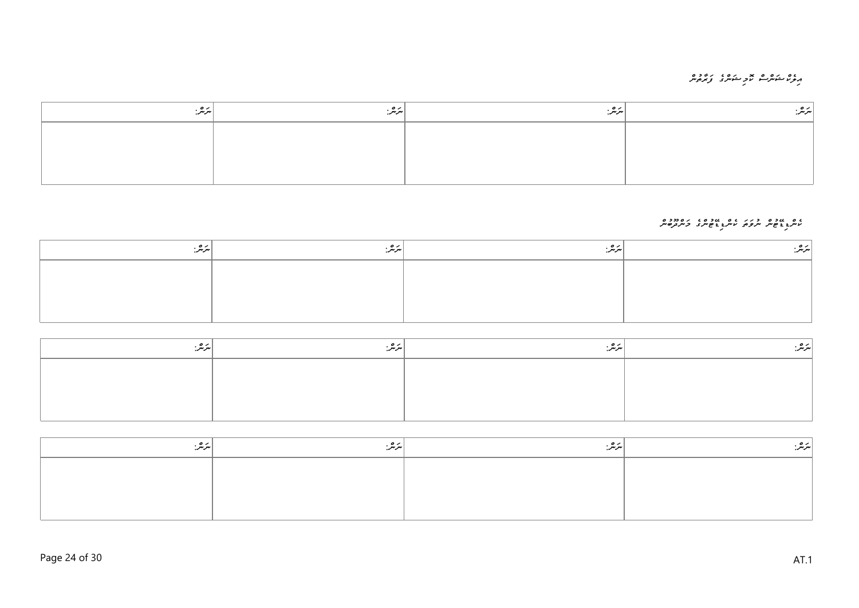## *w7qAn8m? sCw7mRo>u; wEw7mRw;sBo<*

| ' مرمر | 'يئرىثر: |
|--------|----------|
|        |          |
|        |          |
|        |          |

## *w7q9r@w7m> sCw7qHtFoFw7s; mAm=q7 w7qHtFoFw7s;*

| ىر تە | $\mathcal{O} \times$<br>$\sim$ | $\sim$<br>. . | لترنثر |
|-------|--------------------------------|---------------|--------|
|       |                                |               |        |
|       |                                |               |        |
|       |                                |               |        |

| انترنثر: | $^{\circ}$ | يبرهر | $^{\circ}$<br>سرسر |
|----------|------------|-------|--------------------|
|          |            |       |                    |
|          |            |       |                    |
|          |            |       |                    |

| ىرتىر: | 。<br>سر سر | .,<br>مرسر |
|--------|------------|------------|
|        |            |            |
|        |            |            |
|        |            |            |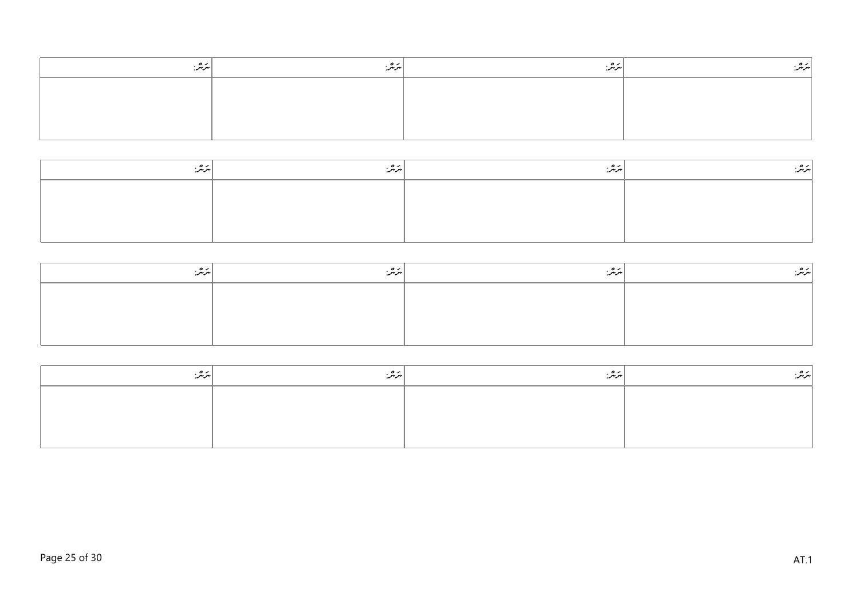| يره. | ο. | ا ير ه |  |
|------|----|--------|--|
|      |    |        |  |
|      |    |        |  |
|      |    |        |  |

| <sup>.</sup> سرسر. |  |
|--------------------|--|
|                    |  |
|                    |  |
|                    |  |

| ىئرىتر. | $\sim$ | ا بر هه. | لىرىش |
|---------|--------|----------|-------|
|         |        |          |       |
|         |        |          |       |
|         |        |          |       |

| 。<br>مرس. | $\overline{\phantom{a}}$<br>مر سر | يتريثر |
|-----------|-----------------------------------|--------|
|           |                                   |        |
|           |                                   |        |
|           |                                   |        |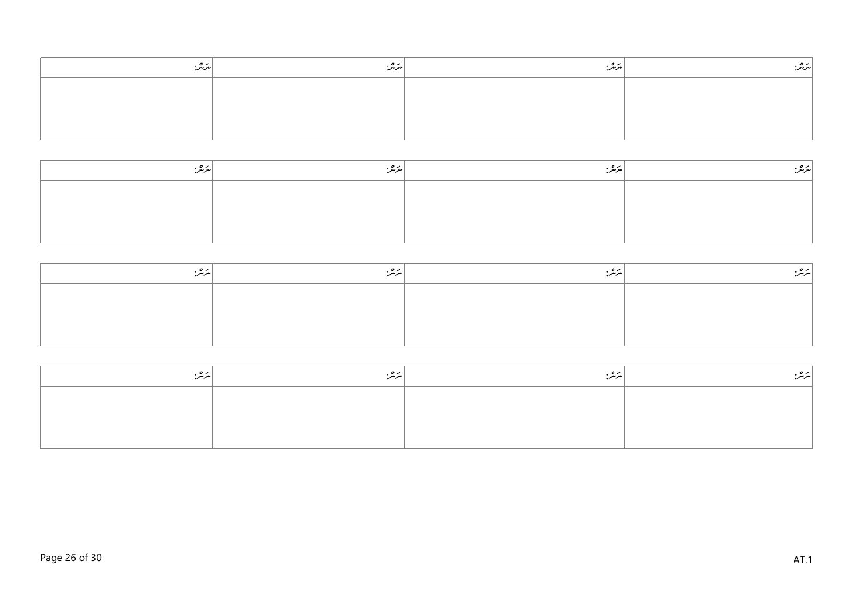| ير هو . | $\overline{\phantom{a}}$ | يرمر | اير هنه. |
|---------|--------------------------|------|----------|
|         |                          |      |          |
|         |                          |      |          |
|         |                          |      |          |

| ىر تىر: | $\circ$ $\sim$<br>" سرسر . | يبرحه | o . |
|---------|----------------------------|-------|-----|
|         |                            |       |     |
|         |                            |       |     |
|         |                            |       |     |

| الترنثر: | ' مرتكز: | الترنثر: | .,<br>سرسر. |
|----------|----------|----------|-------------|
|          |          |          |             |
|          |          |          |             |
|          |          |          |             |

|  | . ه |
|--|-----|
|  |     |
|  |     |
|  |     |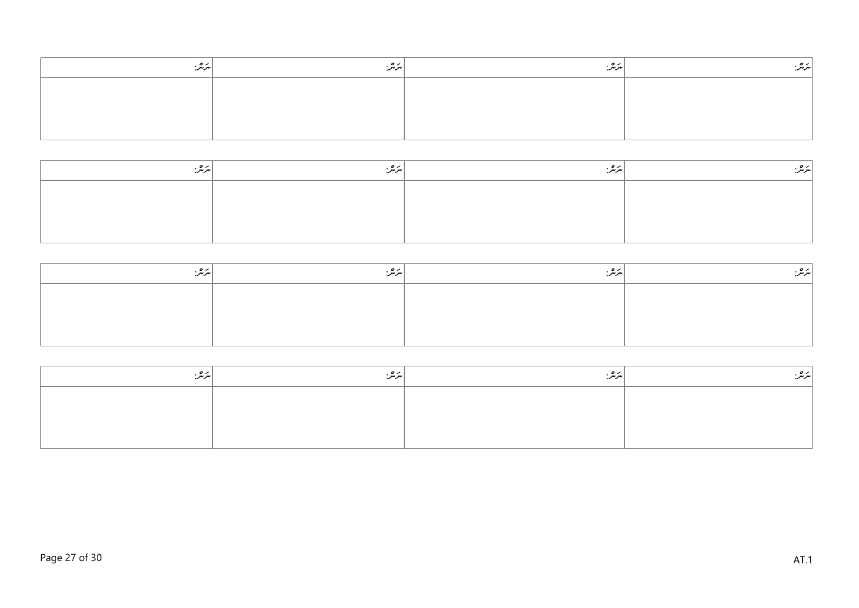| ير هو . | $\overline{\phantom{a}}$ | يرمر | اير هنه. |
|---------|--------------------------|------|----------|
|         |                          |      |          |
|         |                          |      |          |
|         |                          |      |          |

| ىر ھ | $\circ$ $\sim$<br>ا سرسر. | $\circ$ $\sim$<br>' سرسر . | o <i>~</i><br>سرسر. |
|------|---------------------------|----------------------------|---------------------|
|      |                           |                            |                     |
|      |                           |                            |                     |
|      |                           |                            |                     |

| انترنثر: | ر ه |  |
|----------|-----|--|
|          |     |  |
|          |     |  |
|          |     |  |

|  | . ه |
|--|-----|
|  |     |
|  |     |
|  |     |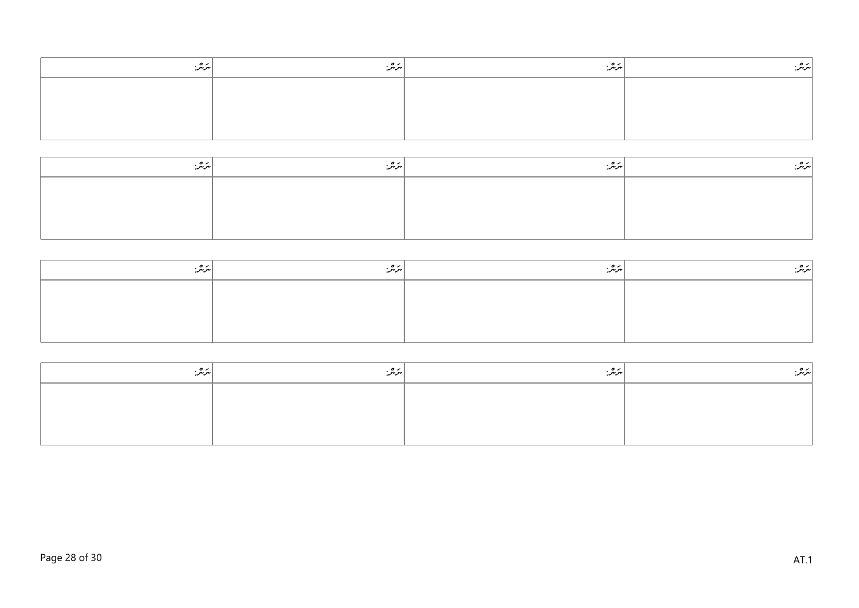| $\cdot$ | ο. | $\frac{\circ}{\cdot}$ | $\sim$<br>سرسر |
|---------|----|-----------------------|----------------|
|         |    |                       |                |
|         |    |                       |                |
|         |    |                       |                |

| يريثن | ' سرسر . |  |
|-------|----------|--|
|       |          |  |
|       |          |  |
|       |          |  |

| بر ه | 。 | $\sim$<br>َ سومس. |  |
|------|---|-------------------|--|
|      |   |                   |  |
|      |   |                   |  |
|      |   |                   |  |

| 。<br>. س | ىرىىر |  |
|----------|-------|--|
|          |       |  |
|          |       |  |
|          |       |  |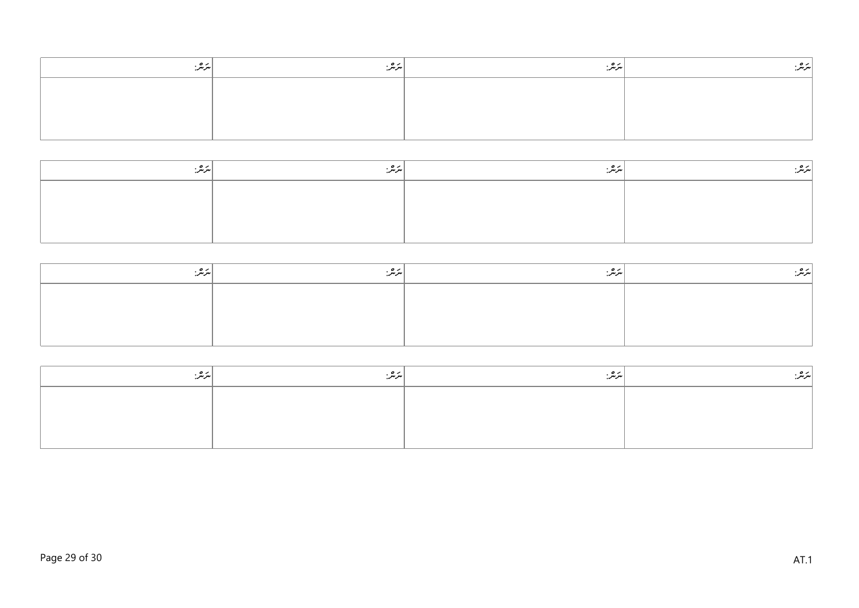| ير هو . | $\overline{\phantom{a}}$ | يرمر | لتزمثن |
|---------|--------------------------|------|--------|
|         |                          |      |        |
|         |                          |      |        |
|         |                          |      |        |

| ىر تىر: | $\circ$ $\sim$<br>" سرسر . | يبرحه | o . |
|---------|----------------------------|-------|-----|
|         |                            |       |     |
|         |                            |       |     |
|         |                            |       |     |

| 'تترنثر: | 。<br>,,,, |  |
|----------|-----------|--|
|          |           |  |
|          |           |  |
|          |           |  |

|  | . ه |
|--|-----|
|  |     |
|  |     |
|  |     |